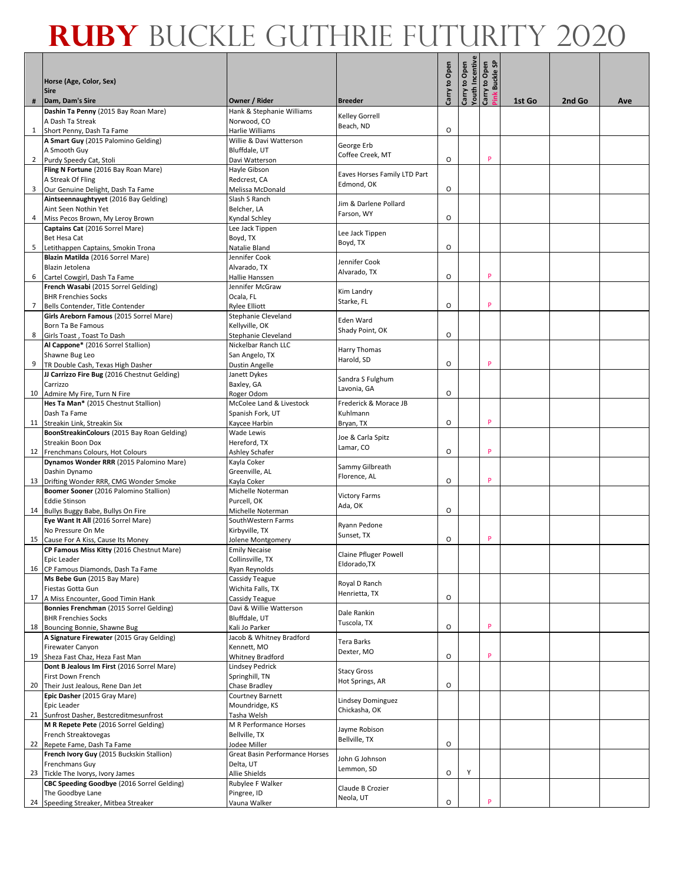|   | Horse (Age, Color, Sex)<br><b>Sire</b>                                             |                                           |                               | Carry to Open | Carry to Open<br>Youth Incentive | Carry to Open<br>Pink Buckle SP |        |        |     |
|---|------------------------------------------------------------------------------------|-------------------------------------------|-------------------------------|---------------|----------------------------------|---------------------------------|--------|--------|-----|
|   | Dam, Dam's Sire                                                                    | Owner / Rider                             | <b>Breeder</b>                |               |                                  |                                 | 1st Go | 2nd Go | Ave |
|   | Dashin Ta Penny (2015 Bay Roan Mare)<br>A Dash Ta Streak                           | Hank & Stephanie Williams<br>Norwood, CO  | Kelley Gorrell                |               |                                  |                                 |        |        |     |
|   | 1 Short Penny, Dash Ta Fame                                                        | Harlie Williams                           | Beach, ND                     | $\circ$       |                                  |                                 |        |        |     |
|   | A Smart Guy (2015 Palomino Gelding)                                                | Willie & Davi Watterson                   | George Erb                    |               |                                  |                                 |        |        |     |
|   | A Smooth Guy                                                                       | Bluffdale, UT                             | Coffee Creek, MT              |               |                                  | P                               |        |        |     |
|   | 2 Purdy Speedy Cat, Stoli<br>Fling N Fortune (2016 Bay Roan Mare)                  | Davi Watterson<br>Hayle Gibson            |                               | O             |                                  |                                 |        |        |     |
|   | A Streak Of Fling                                                                  | Redcrest, CA                              | Eaves Horses Family LTD Part  |               |                                  |                                 |        |        |     |
| 3 | Our Genuine Delight, Dash Ta Fame                                                  | Melissa McDonald                          | Edmond, OK                    | O             |                                  |                                 |        |        |     |
|   | Aintseennaughtyyet (2016 Bay Gelding)                                              | Slash S Ranch                             | Jim & Darlene Pollard         |               |                                  |                                 |        |        |     |
|   | Aint Seen Nothin Yet                                                               | Belcher, LA                               | Farson, WY                    |               |                                  |                                 |        |        |     |
| 4 | Miss Pecos Brown, My Leroy Brown                                                   | Kyndal Schley                             |                               | O             |                                  |                                 |        |        |     |
|   | Captains Cat (2016 Sorrel Mare)<br><b>Bet Hesa Cat</b>                             | Lee Jack Tippen<br>Boyd, TX               | Lee Jack Tippen               |               |                                  |                                 |        |        |     |
| 5 | Letithappen Captains, Smokin Trona                                                 | Natalie Bland                             | Boyd, TX                      | O             |                                  |                                 |        |        |     |
|   | Blazin Matilda (2016 Sorrel Mare)                                                  | Jennifer Cook                             |                               |               |                                  |                                 |        |        |     |
|   | Blazin Jetolena                                                                    | Alvarado, TX                              | Jennifer Cook<br>Alvarado, TX |               |                                  |                                 |        |        |     |
| 6 | Cartel Cowgirl, Dash Ta Fame                                                       | Hallie Hanssen                            |                               | O             |                                  | P                               |        |        |     |
|   | French Wasabi (2015 Sorrel Gelding)<br><b>BHR Frenchies Socks</b>                  | Jennifer McGraw                           | Kim Landry                    |               |                                  |                                 |        |        |     |
|   | 7 Bells Contender, Title Contender                                                 | Ocala, FL<br><b>Rylee Elliott</b>         | Starke, FL                    | $\circ$       |                                  | P                               |        |        |     |
|   | Girls Areborn Famous (2015 Sorrel Mare)                                            | Stephanie Cleveland                       |                               |               |                                  |                                 |        |        |     |
|   | Born Ta Be Famous                                                                  | Kellyville, OK                            | Eden Ward<br>Shady Point, OK  |               |                                  |                                 |        |        |     |
|   | 8 Girls Toast, Toast To Dash                                                       | Stephanie Cleveland                       |                               | O             |                                  |                                 |        |        |     |
|   | Al Cappone* (2016 Sorrel Stallion)                                                 | Nickelbar Ranch LLC                       | Harry Thomas                  |               |                                  |                                 |        |        |     |
|   | Shawne Bug Leo                                                                     | San Angelo, TX                            | Harold, SD                    | O             |                                  | P                               |        |        |     |
|   | TR Double Cash, Texas High Dasher<br>JJ Carrizzo Fire Bug (2016 Chestnut Gelding)  | Dustin Angelle<br>Janett Dykes            |                               |               |                                  |                                 |        |        |     |
|   | Carrizzo                                                                           | Baxley, GA                                | Sandra S Fulghum              |               |                                  |                                 |        |        |     |
|   | 10 Admire My Fire, Turn N Fire                                                     | Roger Odom                                | Lavonia, GA                   | O             |                                  |                                 |        |        |     |
|   | Hes Ta Man* (2015 Chestnut Stallion)                                               | McColee Land & Livestock                  | Frederick & Morace JB         |               |                                  |                                 |        |        |     |
|   | Dash Ta Fame                                                                       | Spanish Fork, UT                          | Kuhlmann                      |               |                                  | P                               |        |        |     |
|   | 11 Streakin Link, Streakin Six<br>BoonStreakinColours (2015 Bay Roan Gelding)      | Kaycee Harbin<br>Wade Lewis               | Bryan, TX                     | O             |                                  |                                 |        |        |     |
|   | Streakin Boon Dox                                                                  | Hereford, TX                              | Joe & Carla Spitz             |               |                                  |                                 |        |        |     |
|   | 12 Frenchmans Colours, Hot Colours                                                 | Ashley Schafer                            | Lamar, CO                     | O             |                                  | P                               |        |        |     |
|   | Dynamos Wonder RRR (2015 Palomino Mare)                                            | Kayla Coker                               | Sammy Gilbreath               |               |                                  |                                 |        |        |     |
|   | Dashin Dynamo                                                                      | Greenville, AL                            | Florence, AL                  |               |                                  | P                               |        |        |     |
|   | 13 Drifting Wonder RRR, CMG Wonder Smoke<br>Boomer Sooner (2016 Palomino Stallion) | Kayla Coker<br>Michelle Noterman          |                               | O             |                                  |                                 |        |        |     |
|   | <b>Eddie Stinson</b>                                                               | Purcell, OK                               | <b>Victory Farms</b>          |               |                                  |                                 |        |        |     |
|   | 14 Bullys Buggy Babe, Bullys On Fire                                               | Michelle Noterman                         | Ada, OK                       | O             |                                  |                                 |        |        |     |
|   | Eye Want It All (2016 Sorrel Mare)                                                 | SouthWestern Farms                        | Ryann Pedone                  |               |                                  |                                 |        |        |     |
|   | No Pressure On Me                                                                  | Kirbyville, TX                            | Sunset, TX                    |               |                                  |                                 |        |        |     |
|   | 15 Cause For A Kiss, Cause Its Money                                               | Jolene Montgomery                         |                               | O             |                                  | P                               |        |        |     |
|   | CP Famous Miss Kitty (2016 Chestnut Mare)<br>Epic Leader                           | <b>Emily Necaise</b><br>Collinsville, TX  | Claine Pfluger Powell         |               |                                  |                                 |        |        |     |
|   | 16 CP Famous Diamonds, Dash Ta Fame                                                | Ryan Reynolds                             | Eldorado, TX                  |               |                                  |                                 |        |        |     |
|   | Ms Bebe Gun (2015 Bay Mare)                                                        | Cassidy Teague                            | Royal D Ranch                 |               |                                  |                                 |        |        |     |
|   | Fiestas Gotta Gun                                                                  | Wichita Falls, TX                         | Henrietta, TX                 |               |                                  |                                 |        |        |     |
|   | 17 A Miss Encounter, Good Timin Hank<br>Bonnies Frenchman (2015 Sorrel Gelding)    | Cassidy Teague<br>Davi & Willie Watterson |                               | O             |                                  |                                 |        |        |     |
|   | <b>BHR Frenchies Socks</b>                                                         | Bluffdale, UT                             | Dale Rankin                   |               |                                  |                                 |        |        |     |
|   | 18 Bouncing Bonnie, Shawne Bug                                                     | Kali Jo Parker                            | Tuscola, TX                   | O             |                                  | P                               |        |        |     |
|   | A Signature Firewater (2015 Gray Gelding)                                          | Jacob & Whitney Bradford                  | Tera Barks                    |               |                                  |                                 |        |        |     |
|   | Firewater Canyon                                                                   | Kennett, MO                               | Dexter, MO                    |               |                                  |                                 |        |        |     |
|   | 19 Sheza Fast Chaz, Heza Fast Man<br>Dont B Jealous Im First (2016 Sorrel Mare)    | Whitney Bradford                          |                               | $\mathsf O$   |                                  | P                               |        |        |     |
|   | First Down French                                                                  | Lindsey Pedrick<br>Springhill, TN         | <b>Stacy Gross</b>            |               |                                  |                                 |        |        |     |
|   | 20 Their Just Jealous, Rene Dan Jet                                                | Chase Bradley                             | Hot Springs, AR               | $\mathsf O$   |                                  |                                 |        |        |     |
|   | Epic Dasher (2015 Gray Mare)                                                       | Courtney Barnett                          | Lindsey Dominguez             |               |                                  |                                 |        |        |     |
|   | Epic Leader                                                                        | Moundridge, KS                            | Chickasha, OK                 |               |                                  |                                 |        |        |     |
|   | 21 Sunfrost Dasher, Bestcreditmesunfrost                                           | Tasha Welsh                               |                               |               |                                  |                                 |        |        |     |
|   | M R Repete Pete (2016 Sorrel Gelding)<br>French Streaktovegas                      | M R Performance Horses<br>Bellville, TX   | Jayme Robison                 |               |                                  |                                 |        |        |     |
|   | 22 Repete Fame, Dash Ta Fame                                                       | Jodee Miller                              | Bellville, TX                 | O             |                                  |                                 |        |        |     |
|   | French Ivory Guy (2015 Buckskin Stallion)                                          | Great Basin Performance Horses            | John G Johnson                |               |                                  |                                 |        |        |     |
|   | <b>Frenchmans Guy</b>                                                              | Delta, UT                                 | Lemmon, SD                    |               |                                  |                                 |        |        |     |
|   | 23 Tickle The Ivorys, Ivory James                                                  | Allie Shields                             |                               | O             | Υ                                |                                 |        |        |     |
|   | CBC Speeding Goodbye (2016 Sorrel Gelding)<br>The Goodbye Lane                     | Rubylee F Walker<br>Pingree, ID           | Claude B Crozier              |               |                                  |                                 |        |        |     |
|   | 24 Speeding Streaker, Mitbea Streaker                                              | Vauna Walker                              | Neola, UT                     | O             |                                  | P                               |        |        |     |
|   |                                                                                    |                                           |                               |               |                                  |                                 |        |        |     |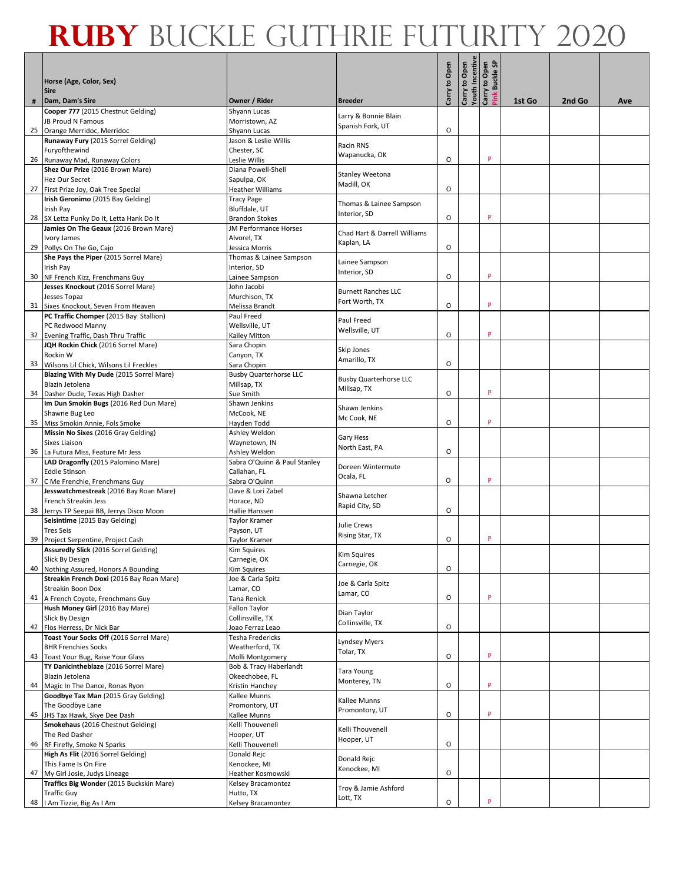|                                                                            |                                        |                                              |               | Carry to Open<br>Youth Incentive |                                 |        |        |     |
|----------------------------------------------------------------------------|----------------------------------------|----------------------------------------------|---------------|----------------------------------|---------------------------------|--------|--------|-----|
| Horse (Age, Color, Sex)<br><b>Sire</b>                                     |                                        |                                              | Carry to Open |                                  | Carry to Open<br>Pink Buckle SP |        |        |     |
| Dam, Dam's Sire                                                            | Owner / Rider                          | <b>Breeder</b>                               |               |                                  |                                 | 1st Go | 2nd Go | Ave |
| Cooper 777 (2015 Chestnut Gelding)<br><b>JB Proud N Famous</b>             | Shyann Lucas<br>Morristown, AZ         | Larry & Bonnie Blain                         |               |                                  |                                 |        |        |     |
| 25 Orange Merridoc, Merridoc                                               | Shyann Lucas                           | Spanish Fork, UT                             | $\circ$       |                                  |                                 |        |        |     |
| Runaway Fury (2015 Sorrel Gelding)                                         | Jason & Leslie Willis                  | Racin RNS                                    |               |                                  |                                 |        |        |     |
| Furyofthewind                                                              | Chester, SC                            | Wapanucka, OK                                |               |                                  |                                 |        |        |     |
| 26 Runaway Mad, Runaway Colors                                             | Leslie Willis                          |                                              | O             |                                  | P                               |        |        |     |
| Shez Our Prize (2016 Brown Mare)                                           | Diana Powell-Shell                     | Stanley Weetona                              |               |                                  |                                 |        |        |     |
| Hez Our Secret<br>27 First Prize Joy, Oak Tree Special                     | Sapulpa, OK<br><b>Heather Williams</b> | Madill, OK                                   | O             |                                  |                                 |        |        |     |
| Irish Geronimo (2015 Bay Gelding)                                          | <b>Tracy Page</b>                      |                                              |               |                                  |                                 |        |        |     |
| Irish Pay                                                                  | Bluffdale, UT                          | Thomas & Lainee Sampson                      |               |                                  |                                 |        |        |     |
| 28 SX Letta Punky Do It, Letta Hank Do It                                  | <b>Brandon Stokes</b>                  | Interior, SD                                 | O             |                                  | P                               |        |        |     |
| Jamies On The Geaux (2016 Brown Mare)                                      | <b>JM Performance Horses</b>           | Chad Hart & Darrell Williams                 |               |                                  |                                 |        |        |     |
| Ivory James                                                                | Alvorel, TX                            | Kaplan, LA                                   |               |                                  |                                 |        |        |     |
| 29 Pollys On The Go, Cajo                                                  | Jessica Morris                         |                                              | O             |                                  |                                 |        |        |     |
| She Pays the Piper (2015 Sorrel Mare)                                      | Thomas & Lainee Sampson                | Lainee Sampson                               |               |                                  |                                 |        |        |     |
| Irish Pay                                                                  | Interior, SD                           | Interior, SD                                 | O             |                                  | P                               |        |        |     |
| 30 NF French Kizz, Frenchmans Guy<br>Jesses Knockout (2016 Sorrel Mare)    | Lainee Sampson<br>John Jacobi          |                                              |               |                                  |                                 |        |        |     |
| Jesses Topaz                                                               | Murchison, TX                          | <b>Burnett Ranches LLC</b>                   |               |                                  |                                 |        |        |     |
| 31 Sixes Knockout, Seven From Heaven                                       | Melissa Brandt                         | Fort Worth, TX                               | $\circ$       |                                  | P                               |        |        |     |
| PC Traffic Chomper (2015 Bay Stallion)                                     | Paul Freed                             | Paul Freed                                   |               |                                  |                                 |        |        |     |
| PC Redwood Manny                                                           | Wellsville, UT                         | Wellsville, UT                               |               |                                  |                                 |        |        |     |
| 32 Evening Traffic, Dash Thru Traffic                                      | Kailey Mitton                          |                                              | O             |                                  | P                               |        |        |     |
| JQH Rockin Chick (2016 Sorrel Mare)<br>Rockin W                            | Sara Chopin                            | Skip Jones                                   |               |                                  |                                 |        |        |     |
| 33 Wilsons Lil Chick, Wilsons Lil Freckles                                 | Canyon, TX<br>Sara Chopin              | Amarillo, TX                                 | O             |                                  |                                 |        |        |     |
| Blazing With My Dude (2015 Sorrel Mare)                                    | <b>Busby Quarterhorse LLC</b>          |                                              |               |                                  |                                 |        |        |     |
| Blazin Jetolena                                                            | Millsap, TX                            | <b>Busby Quarterhorse LLC</b><br>Millsap, TX |               |                                  |                                 |        |        |     |
| 34 Dasher Dude, Texas High Dasher                                          | Sue Smith                              |                                              | O             |                                  | P                               |        |        |     |
| Im Dun Smokin Bugs (2016 Red Dun Mare)                                     | Shawn Jenkins                          | Shawn Jenkins                                |               |                                  |                                 |        |        |     |
| Shawne Bug Leo                                                             | McCook, NE                             | Mc Cook, NE                                  | $\circ$       |                                  | P                               |        |        |     |
| 35 Miss Smokin Annie, Fols Smoke<br>Missin No Sixes (2016 Gray Gelding)    | Hayden Todd<br>Ashley Weldon           |                                              |               |                                  |                                 |        |        |     |
| Sixes Liaison                                                              | Waynetown, IN                          | Gary Hess                                    |               |                                  |                                 |        |        |     |
| 36 La Futura Miss, Feature Mr Jess                                         | Ashley Weldon                          | North East, PA                               | O             |                                  |                                 |        |        |     |
| LAD Dragonfly (2015 Palomino Mare)                                         | Sabra O'Quinn & Paul Stanley           | Doreen Wintermute                            |               |                                  |                                 |        |        |     |
| <b>Eddie Stinson</b>                                                       | Callahan, FL                           | Ocala, FL                                    |               |                                  | P                               |        |        |     |
| 37 C Me Frenchie, Frenchmans Guy<br>Jesswatchmestreak (2016 Bay Roan Mare) | Sabra O'Quinn<br>Dave & Lori Zabel     |                                              | O             |                                  |                                 |        |        |     |
| French Streakin Jess                                                       | Horace, ND                             | Shawna Letcher                               |               |                                  |                                 |        |        |     |
| 38 Jerrys TP Seepai BB, Jerrys Disco Moon                                  | Hallie Hanssen                         | Rapid City, SD                               | O             |                                  |                                 |        |        |     |
| Seisintime (2015 Bay Gelding)                                              | Taylor Kramer                          | Julie Crews                                  |               |                                  |                                 |        |        |     |
| <b>Tres Seis</b>                                                           | Payson, UT                             | Rising Star, TX                              |               |                                  |                                 |        |        |     |
| 39 Project Serpentine, Project Cash                                        | Taylor Kramer                          |                                              | O             |                                  | P                               |        |        |     |
| Assuredly Slick (2016 Sorrel Gelding)<br>Slick By Design                   | Kim Squires                            | <b>Kim Squires</b>                           |               |                                  |                                 |        |        |     |
| 40 Nothing Assured, Honors A Bounding                                      | Carnegie, OK<br>Kim Squires            | Carnegie, OK                                 | O             |                                  |                                 |        |        |     |
| Streakin French Doxi (2016 Bay Roan Mare)                                  | Joe & Carla Spitz                      |                                              |               |                                  |                                 |        |        |     |
| Streakin Boon Dox                                                          | Lamar, CO                              | Joe & Carla Spitz<br>Lamar, CO               |               |                                  |                                 |        |        |     |
| 41 A French Coyote, Frenchmans Guy                                         | Tana Renick                            |                                              | O             |                                  | P                               |        |        |     |
| Hush Money Girl (2016 Bay Mare)<br>Slick By Design                         | Fallon Taylor<br>Collinsville, TX      | Dian Taylor                                  |               |                                  |                                 |        |        |     |
| 42 Flos Herress, Dr Nick Bar                                               | Joao Ferraz Leao                       | Collinsville, TX                             | O             |                                  |                                 |        |        |     |
| Toast Your Socks Off (2016 Sorrel Mare)                                    | Tesha Fredericks                       |                                              |               |                                  |                                 |        |        |     |
| <b>BHR Frenchies Socks</b>                                                 | Weatherford, TX                        | <b>Lyndsey Myers</b><br>Tolar, TX            |               |                                  |                                 |        |        |     |
| 43 Toast Your Bug, Raise Your Glass                                        | Molli Montgomery                       |                                              | $\mathsf O$   |                                  | P                               |        |        |     |
| TY Danicintheblaze (2016 Sorrel Mare)<br>Blazin Jetolena                   | Bob & Tracy Haberlandt                 | Tara Young                                   |               |                                  |                                 |        |        |     |
| 44 Magic In The Dance, Ronas Ryon                                          | Okeechobee, FL<br>Kristin Hanchey      | Monterey, TN                                 | $\mathsf O$   |                                  | P                               |        |        |     |
| Goodbye Tax Man (2015 Gray Gelding)                                        | Kallee Munns                           |                                              |               |                                  |                                 |        |        |     |
| The Goodbye Lane                                                           | Promontory, UT                         | Kallee Munns                                 |               |                                  |                                 |        |        |     |
| 45 JHS Tax Hawk, Skye Dee Dash                                             | Kallee Munns                           | Promontory, UT                               | O             |                                  | P                               |        |        |     |
| Smokehaus (2016 Chestnut Gelding)                                          | Kelli Thouvenell                       | Kelli Thouvenell                             |               |                                  |                                 |        |        |     |
| The Red Dasher                                                             | Hooper, UT                             | Hooper, UT                                   | O             |                                  |                                 |        |        |     |
| 46 RF Firefly, Smoke N Sparks<br>High As Flit (2016 Sorrel Gelding)        | Kelli Thouvenell<br>Donald Rejc        |                                              |               |                                  |                                 |        |        |     |
| This Fame Is On Fire                                                       | Kenockee, MI                           | Donald Rejc                                  |               |                                  |                                 |        |        |     |
| 47 My Girl Josie, Judys Lineage                                            | Heather Kosmowski                      | Kenockee, MI                                 | O             |                                  |                                 |        |        |     |
| Traffics Big Wonder (2015 Buckskin Mare)                                   | Kelsey Bracamontez                     | Troy & Jamie Ashford                         |               |                                  |                                 |        |        |     |
| <b>Traffic Guy</b>                                                         | Hutto, TX                              | Lott, TX                                     |               |                                  | P                               |        |        |     |
| 48   Am Tizzie, Big As I Am                                                | Kelsey Bracamontez                     |                                              | O             |                                  |                                 |        |        |     |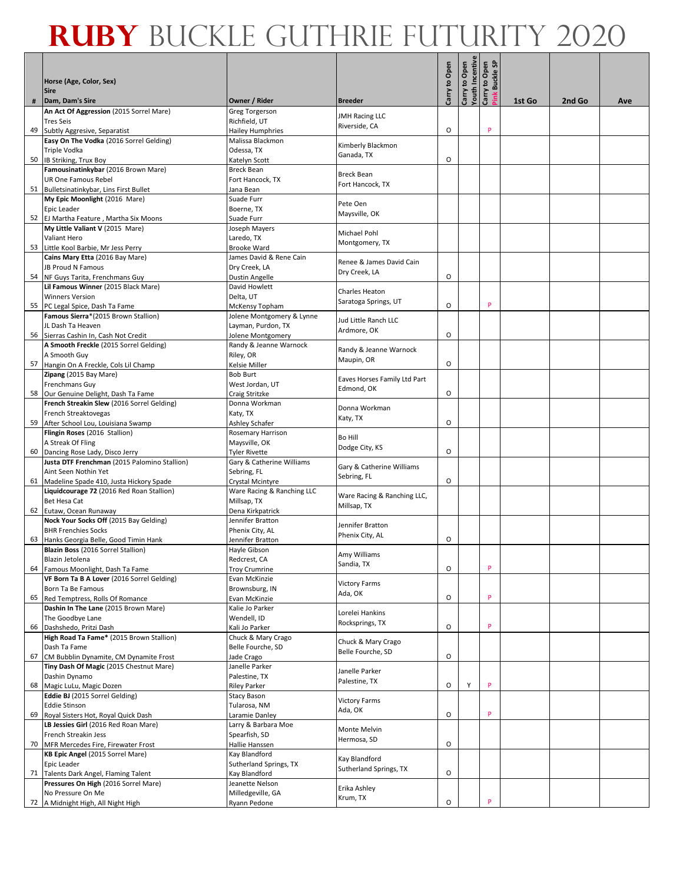|                                                                                         |                                                |                                        |               | Carry to Open<br>Youth Incentive |                                 |        |        |     |
|-----------------------------------------------------------------------------------------|------------------------------------------------|----------------------------------------|---------------|----------------------------------|---------------------------------|--------|--------|-----|
| Horse (Age, Color, Sex)<br><b>Sire</b>                                                  |                                                |                                        | Carry to Open |                                  | Pink Buckle SP<br>Carry to Open |        |        |     |
| Dam, Dam's Sire                                                                         | Owner / Rider                                  | <b>Breeder</b>                         |               |                                  |                                 | 1st Go | 2nd Go | Ave |
| An Act Of Aggression (2015 Sorrel Mare)<br><b>Tres Seis</b>                             | <b>Greg Torgerson</b><br>Richfield, UT         | <b>JMH Racing LLC</b><br>Riverside, CA |               |                                  |                                 |        |        |     |
| 49 Subtly Aggresive, Separatist                                                         | Hailey Humphries                               |                                        | $\circ$       |                                  | p                               |        |        |     |
| Easy On The Vodka (2016 Sorrel Gelding)                                                 | Malissa Blackmon                               | Kimberly Blackmon                      |               |                                  |                                 |        |        |     |
| Triple Vodka                                                                            | Odessa, TX                                     | Ganada, TX                             |               |                                  |                                 |        |        |     |
| 50 IB Striking, Trux Boy                                                                | Katelyn Scott                                  |                                        | O             |                                  |                                 |        |        |     |
| Famousinatinkybar (2016 Brown Mare)                                                     | <b>Breck Bean</b>                              | <b>Breck Bean</b>                      |               |                                  |                                 |        |        |     |
| <b>UR One Famous Rebel</b>                                                              | Fort Hancock, TX                               | Fort Hancock, TX                       |               |                                  |                                 |        |        |     |
| 51 Bulletsinatinkybar, Lins First Bullet                                                | Jana Bean                                      |                                        |               |                                  |                                 |        |        |     |
| My Epic Moonlight (2016 Mare)                                                           | Suade Furr                                     | Pete Oen                               |               |                                  |                                 |        |        |     |
| Epic Leader                                                                             | Boerne, TX                                     | Maysville, OK                          |               |                                  |                                 |        |        |     |
| 52 EJ Martha Feature, Martha Six Moons                                                  | Suade Furr                                     |                                        |               |                                  |                                 |        |        |     |
| My Little Valiant V (2015 Mare)                                                         | Joseph Mayers                                  | Michael Pohl                           |               |                                  |                                 |        |        |     |
| Valiant Hero                                                                            | Laredo, TX                                     | Montgomery, TX                         |               |                                  |                                 |        |        |     |
| 53 Little Kool Barbie, Mr Jess Perry                                                    | <b>Brooke Ward</b>                             |                                        |               |                                  |                                 |        |        |     |
| Cains Mary Etta (2016 Bay Mare)                                                         | James David & Rene Cain                        | Renee & James David Cain               |               |                                  |                                 |        |        |     |
| JB Proud N Famous                                                                       | Dry Creek, LA                                  | Dry Creek, LA                          | O             |                                  |                                 |        |        |     |
| 54 NF Guys Tarita, Frenchmans Guy<br>Lil Famous Winner (2015 Black Mare)                | <b>Dustin Angelle</b><br>David Howlett         |                                        |               |                                  |                                 |        |        |     |
| <b>Winners Version</b>                                                                  | Delta, UT                                      | Charles Heaton                         |               |                                  |                                 |        |        |     |
| 55 PC Legal Spice, Dash Ta Fame                                                         | McKensy Topham                                 | Saratoga Springs, UT                   | $\circ$       |                                  | P                               |        |        |     |
| Famous Sierra*(2015 Brown Stallion)                                                     | Jolene Montgomery & Lynne                      |                                        |               |                                  |                                 |        |        |     |
| JL Dash Ta Heaven                                                                       | Layman, Purdon, TX                             | Jud Little Ranch LLC                   |               |                                  |                                 |        |        |     |
| 56 Sierras Cashin In, Cash Not Credit                                                   | Jolene Montgomery                              | Ardmore, OK                            | O             |                                  |                                 |        |        |     |
| A Smooth Freckle (2015 Sorrel Gelding)                                                  | Randy & Jeanne Warnock                         |                                        |               |                                  |                                 |        |        |     |
| A Smooth Guy                                                                            | Riley, OR                                      | Randy & Jeanne Warnock                 |               |                                  |                                 |        |        |     |
| 57 Hangin On A Freckle, Cols Lil Champ                                                  | Kelsie Miller                                  | Maupin, OR                             | O             |                                  |                                 |        |        |     |
| Zipang (2015 Bay Mare)                                                                  | <b>Bob Burt</b>                                | Eaves Horses Family Ltd Part           |               |                                  |                                 |        |        |     |
| <b>Frenchmans Guy</b>                                                                   | West Jordan, UT                                | Edmond, OK                             |               |                                  |                                 |        |        |     |
| 58 Our Genuine Delight, Dash Ta Fame                                                    | Craig Stritzke                                 |                                        | O             |                                  |                                 |        |        |     |
| French Streakin Slew (2016 Sorrel Gelding)                                              | Donna Workman                                  | Donna Workman                          |               |                                  |                                 |        |        |     |
| French Streaktovegas                                                                    | Katy, TX                                       | Katy, TX                               |               |                                  |                                 |        |        |     |
| 59 After School Lou, Louisiana Swamp                                                    | Ashley Schafer                                 |                                        | O             |                                  |                                 |        |        |     |
| Flingin Roses (2016 Stallion)                                                           | Rosemary Harrison                              | Bo Hill                                |               |                                  |                                 |        |        |     |
| A Streak Of Fling                                                                       | Maysville, OK                                  | Dodge City, KS                         |               |                                  |                                 |        |        |     |
| 60 Dancing Rose Lady, Disco Jerry                                                       | Tyler Rivette                                  |                                        | O             |                                  |                                 |        |        |     |
| Justa DTF Frenchman (2015 Palomino Stallion)                                            | Gary & Catherine Williams                      | Gary & Catherine Williams              |               |                                  |                                 |        |        |     |
| Aint Seen Nothin Yet                                                                    | Sebring, FL                                    | Sebring, FL                            | O             |                                  |                                 |        |        |     |
| 61 Madeline Spade 410, Justa Hickory Spade<br>Liquidcourage 72 (2016 Red Roan Stallion) | Crystal Mcintyre<br>Ware Racing & Ranching LLC |                                        |               |                                  |                                 |        |        |     |
| <b>Bet Hesa Cat</b>                                                                     | Millsap, TX                                    | Ware Racing & Ranching LLC,            |               |                                  |                                 |        |        |     |
| 62 Eutaw, Ocean Runaway                                                                 | Dena Kirkpatrick                               | Millsap, TX                            |               |                                  |                                 |        |        |     |
| Nock Your Socks Off (2015 Bay Gelding)                                                  | Jennifer Bratton                               |                                        |               |                                  |                                 |        |        |     |
| <b>BHR Frenchies Socks</b>                                                              | Phenix City, AL                                | Jennifer Bratton                       |               |                                  |                                 |        |        |     |
| 63 Hanks Georgia Belle, Good Timin Hank                                                 | Jennifer Bratton                               | Phenix City, AL                        | O             |                                  |                                 |        |        |     |
| Blazin Boss (2016 Sorrel Stallion)                                                      | Hayle Gibson                                   |                                        |               |                                  |                                 |        |        |     |
| Blazin Jetolena                                                                         | Redcrest, CA                                   | Amy Williams<br>Sandia, TX             |               |                                  |                                 |        |        |     |
| 64 Famous Moonlight, Dash Ta Fame                                                       | <b>Troy Crumrine</b>                           |                                        | O             |                                  | P                               |        |        |     |
| VF Born Ta B A Lover (2016 Sorrel Gelding)                                              | Evan McKinzie                                  | <b>Victory Farms</b>                   |               |                                  |                                 |        |        |     |
| Born Ta Be Famous                                                                       | Brownsburg, IN                                 | Ada, OK                                |               |                                  |                                 |        |        |     |
| 65 Red Temptress, Rolls Of Romance                                                      | Evan McKinzie                                  |                                        | O             |                                  | P                               |        |        |     |
| Dashin In The Lane (2015 Brown Mare)                                                    | Kalie Jo Parker                                | Lorelei Hankins                        |               |                                  |                                 |        |        |     |
| The Goodbye Lane                                                                        | Wendell, ID                                    | Rocksprings, TX                        |               |                                  | P                               |        |        |     |
| 66 Dashshedo, Pritzi Dash                                                               | Kali Jo Parker                                 |                                        | O             |                                  |                                 |        |        |     |
| High Road Ta Fame* (2015 Brown Stallion)                                                | Chuck & Mary Crago                             | Chuck & Mary Crago                     |               |                                  |                                 |        |        |     |
| Dash Ta Fame                                                                            | Belle Fourche, SD                              | Belle Fourche, SD                      | 0             |                                  |                                 |        |        |     |
| 67 CM Bubblin Dynamite, CM Dynamite Frost<br>Tiny Dash Of Magic (2015 Chestnut Mare)    | Jade Crago<br>Janelle Parker                   |                                        |               |                                  |                                 |        |        |     |
| Dashin Dynamo                                                                           | Palestine, TX                                  | Janelle Parker                         |               |                                  |                                 |        |        |     |
| 68 Magic LuLu, Magic Dozen                                                              | Riley Parker                                   | Palestine, TX                          | O             | Υ                                | P                               |        |        |     |
| Eddie BJ (2015 Sorrel Gelding)                                                          | Stacy Bason                                    |                                        |               |                                  |                                 |        |        |     |
| <b>Eddie Stinson</b>                                                                    | Tularosa, NM                                   | <b>Victory Farms</b>                   |               |                                  |                                 |        |        |     |
| 69 Royal Sisters Hot, Royal Quick Dash                                                  | Laramie Danley                                 | Ada, OK                                | O             |                                  | P                               |        |        |     |
| LB Jessies Girl (2016 Red Roan Mare)                                                    | Larry & Barbara Moe                            |                                        |               |                                  |                                 |        |        |     |
| French Streakin Jess                                                                    | Spearfish, SD                                  | Monte Melvin                           |               |                                  |                                 |        |        |     |
| 70 MFR Mercedes Fire, Firewater Frost                                                   | Hallie Hanssen                                 | Hermosa, SD                            | O             |                                  |                                 |        |        |     |
| KB Epic Angel (2015 Sorrel Mare)                                                        | Kay Blandford                                  | Kay Blandford                          |               |                                  |                                 |        |        |     |
| Epic Leader                                                                             | Sutherland Springs, TX                         | Sutherland Springs, TX                 |               |                                  |                                 |        |        |     |
| 71 Talents Dark Angel, Flaming Talent                                                   | Kay Blandford                                  |                                        | O             |                                  |                                 |        |        |     |
| Pressures On High (2016 Sorrel Mare)                                                    | Jeanette Nelson                                | Erika Ashley                           |               |                                  |                                 |        |        |     |
| No Pressure On Me                                                                       | Milledgeville, GA                              | Krum, TX                               |               |                                  |                                 |        |        |     |
| 72 A Midnight High, All Night High                                                      | Ryann Pedone                                   |                                        | O             |                                  | P                               |        |        |     |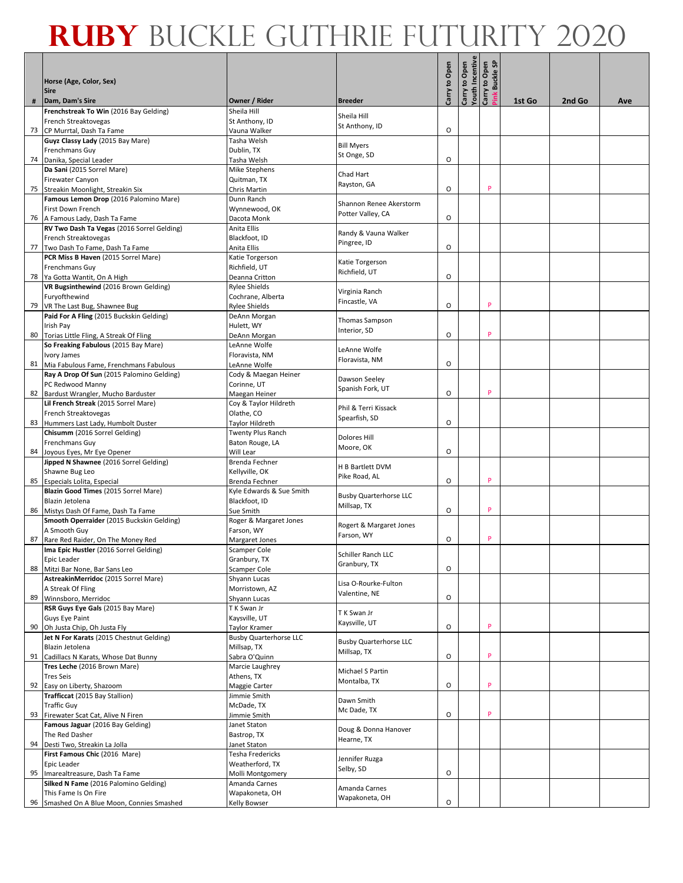| Horse (Age, Color, Sex)<br><b>Sire</b>                                        |                                             |                                              | Carry to Open | Carry to Open<br>Youth Incentive | Pink Buckle SP<br>Carry to Open |        |        |     |
|-------------------------------------------------------------------------------|---------------------------------------------|----------------------------------------------|---------------|----------------------------------|---------------------------------|--------|--------|-----|
| Dam, Dam's Sire                                                               | Owner / Rider                               | <b>Breeder</b>                               |               |                                  |                                 | 1st Go | 2nd Go | Ave |
| Frenchstreak To Win (2016 Bay Gelding)<br>French Streaktovegas                | Sheila Hill<br>St Anthony, ID               | Sheila Hill                                  |               |                                  |                                 |        |        |     |
| 73 CP Murrtal, Dash Ta Fame                                                   | Vauna Walker                                | St Anthony, ID                               | O             |                                  |                                 |        |        |     |
| Guyz Classy Lady (2015 Bay Mare)                                              | Tasha Welsh                                 | <b>Bill Myers</b>                            |               |                                  |                                 |        |        |     |
| Frenchmans Guy                                                                | Dublin, TX                                  | St Onge, SD                                  |               |                                  |                                 |        |        |     |
| 74 Danika, Special Leader                                                     | Tasha Welsh                                 |                                              | O             |                                  |                                 |        |        |     |
| Da Sani (2015 Sorrel Mare)                                                    | Mike Stephens                               | Chad Hart                                    |               |                                  |                                 |        |        |     |
| Firewater Canyon                                                              | Quitman, TX                                 | Rayston, GA                                  | O             |                                  | P                               |        |        |     |
| 75 Streakin Moonlight, Streakin Six<br>Famous Lemon Drop (2016 Palomino Mare) | Chris Martin<br>Dunn Ranch                  |                                              |               |                                  |                                 |        |        |     |
| First Down French                                                             | Wynnewood, OK                               | Shannon Renee Akerstorm                      |               |                                  |                                 |        |        |     |
| 76 A Famous Lady, Dash Ta Fame                                                | Dacota Monk                                 | Potter Valley, CA                            | O             |                                  |                                 |        |        |     |
| RV Two Dash Ta Vegas (2016 Sorrel Gelding)                                    | Anita Ellis                                 |                                              |               |                                  |                                 |        |        |     |
| French Streaktovegas                                                          | Blackfoot, ID                               | Randy & Vauna Walker<br>Pingree, ID          |               |                                  |                                 |        |        |     |
| 77 Two Dash To Fame, Dash Ta Fame                                             | Anita Ellis                                 |                                              | O             |                                  |                                 |        |        |     |
| PCR Miss B Haven (2015 Sorrel Mare)                                           | Katie Torgerson                             | Katie Torgerson                              |               |                                  |                                 |        |        |     |
| <b>Frenchmans Guy</b>                                                         | Richfield, UT                               | Richfield, UT                                |               |                                  |                                 |        |        |     |
| 78 Ya Gotta Wantit, On A High<br>VR Bugsinthewind (2016 Brown Gelding)        | Deanna Critton<br><b>Rylee Shields</b>      |                                              | O             |                                  |                                 |        |        |     |
| Furyofthewind                                                                 | Cochrane, Alberta                           | Virginia Ranch                               |               |                                  |                                 |        |        |     |
| 79 VR The Last Bug, Shawnee Bug                                               | <b>Rylee Shields</b>                        | Fincastle, VA                                | $\circ$       |                                  | P                               |        |        |     |
| Paid For A Fling (2015 Buckskin Gelding)                                      | DeAnn Morgan                                |                                              |               |                                  |                                 |        |        |     |
| Irish Pay                                                                     | Hulett, WY                                  | Thomas Sampson<br>Interior, SD               |               |                                  |                                 |        |        |     |
| 80 Torias Little Fling, A Streak Of Fling                                     | DeAnn Morgan                                |                                              | O             |                                  | P                               |        |        |     |
| So Freaking Fabulous (2015 Bay Mare)                                          | LeAnne Wolfe                                | LeAnne Wolfe                                 |               |                                  |                                 |        |        |     |
| Ivory James<br>81 Mia Fabulous Fame, Frenchmans Fabulous                      | Floravista, NM<br>LeAnne Wolfe              | Floravista, NM                               | O             |                                  |                                 |        |        |     |
| Ray A Drop Of Sun (2015 Palomino Gelding)                                     | Cody & Maegan Heiner                        |                                              |               |                                  |                                 |        |        |     |
| PC Redwood Manny                                                              | Corinne, UT                                 | Dawson Seeley                                |               |                                  |                                 |        |        |     |
| 82 Bardust Wrangler, Mucho Barduster                                          | Maegan Heiner                               | Spanish Fork, UT                             | O             |                                  | P                               |        |        |     |
| Lil French Streak (2015 Sorrel Mare)                                          | Coy & Taylor Hildreth                       | Phil & Terri Kissack                         |               |                                  |                                 |        |        |     |
| French Streaktovegas                                                          | Olathe, CO                                  | Spearfish, SD                                |               |                                  |                                 |        |        |     |
| 83 Hummers Last Lady, Humbolt Duster<br>Chisumm (2016 Sorrel Gelding)         | Taylor Hildreth<br><b>Twenty Plus Ranch</b> |                                              | O             |                                  |                                 |        |        |     |
| <b>Frenchmans Guy</b>                                                         | Baton Rouge, LA                             | Dolores Hill                                 |               |                                  |                                 |        |        |     |
| 84 Joyous Eyes, Mr Eye Opener                                                 | Will Lear                                   | Moore, OK                                    | O             |                                  |                                 |        |        |     |
| Jipped N Shawnee (2016 Sorrel Gelding)                                        | <b>Brenda Fechner</b>                       | H B Bartlett DVM                             |               |                                  |                                 |        |        |     |
| Shawne Bug Leo                                                                | Kellyville, OK                              | Pike Road, AL                                |               |                                  |                                 |        |        |     |
| 85 Especials Lolita, Especial                                                 | Brenda Fechner                              |                                              | O             |                                  | P                               |        |        |     |
| Blazin Good Times (2015 Sorrel Mare)<br>Blazin Jetolena                       | Kyle Edwards & Sue Smith<br>Blackfoot, ID   | <b>Busby Quarterhorse LLC</b>                |               |                                  |                                 |        |        |     |
| 86 Mistys Dash Of Fame, Dash Ta Fame                                          | Sue Smith                                   | Millsap, TX                                  | O             |                                  | P                               |        |        |     |
| Smooth Operraider (2015 Buckskin Gelding)                                     | Roger & Margaret Jones                      |                                              |               |                                  |                                 |        |        |     |
| A Smooth Guy                                                                  | Farson, WY                                  | Rogert & Margaret Jones<br>Farson, WY        |               |                                  |                                 |        |        |     |
| 87 Rare Red Raider, On The Money Red                                          | Margaret Jones                              |                                              | O             |                                  | P                               |        |        |     |
| Ima Epic Hustler (2016 Sorrel Gelding)                                        | <b>Scamper Cole</b>                         | Schiller Ranch LLC                           |               |                                  |                                 |        |        |     |
| Epic Leader<br>88 Mitzi Bar None, Bar Sans Leo                                | Granbury, TX<br><b>Scamper Cole</b>         | Granbury, TX                                 | O             |                                  |                                 |        |        |     |
| AstreakinMerridoc (2015 Sorrel Mare)                                          | Shyann Lucas                                |                                              |               |                                  |                                 |        |        |     |
| A Streak Of Fling                                                             | Morristown, AZ                              | Lisa O-Rourke-Fulton<br>Valentine, NE        |               |                                  |                                 |        |        |     |
| 89 Winnsboro, Merridoc                                                        | Shyann Lucas                                |                                              | O             |                                  |                                 |        |        |     |
| RSR Guys Eye Gals (2015 Bay Mare)                                             | T K Swan Jr                                 | T K Swan Jr                                  |               |                                  |                                 |        |        |     |
| Guys Eye Paint<br>90 Oh Justa Chip, Oh Justa Fly                              | Kaysville, UT<br>Taylor Kramer              | Kaysville, UT                                | O             |                                  | P                               |        |        |     |
| Jet N For Karats (2015 Chestnut Gelding)                                      | <b>Busby Quarterhorse LLC</b>               |                                              |               |                                  |                                 |        |        |     |
| Blazin Jetolena                                                               | Millsap, TX                                 | <b>Busby Quarterhorse LLC</b><br>Millsap, TX |               |                                  |                                 |        |        |     |
| 91 Cadillacs N Karats, Whose Dat Bunny                                        | Sabra O'Quinn                               |                                              | 0             |                                  | P                               |        |        |     |
| Tres Leche (2016 Brown Mare)                                                  | Marcie Laughrey                             | Michael S Partin                             |               |                                  |                                 |        |        |     |
| <b>Tres Seis</b>                                                              | Athens, TX                                  | Montalba, TX                                 | O             |                                  | P                               |        |        |     |
| 92 Easy on Liberty, Shazoom<br>Trafficcat (2015 Bay Stallion)                 | Maggie Carter<br>Jimmie Smith               |                                              |               |                                  |                                 |        |        |     |
| <b>Traffic Guy</b>                                                            | McDade, TX                                  | Dawn Smith                                   |               |                                  |                                 |        |        |     |
| 93 Firewater Scat Cat, Alive N Firen                                          | Jimmie Smith                                | Mc Dade, TX                                  | O             |                                  | P                               |        |        |     |
| Famous Jaguar (2016 Bay Gelding)                                              | Janet Staton                                | Doug & Donna Hanover                         |               |                                  |                                 |        |        |     |
| The Red Dasher                                                                | Bastrop, TX                                 | Hearne, TX                                   |               |                                  |                                 |        |        |     |
| 94 Desti Two, Streakin La Jolla<br>First Famous Chic (2016 Mare)              | Janet Staton<br>Tesha Fredericks            |                                              |               |                                  |                                 |        |        |     |
| Epic Leader                                                                   | Weatherford, TX                             | Jennifer Ruzga                               |               |                                  |                                 |        |        |     |
| 95 Imarealtreasure, Dash Ta Fame                                              | Molli Montgomery                            | Selby, SD                                    | O             |                                  |                                 |        |        |     |
| Silked N Fame (2016 Palomino Gelding)                                         | Amanda Carnes                               | Amanda Carnes                                |               |                                  |                                 |        |        |     |
| This Fame Is On Fire                                                          | Wapakoneta, OH                              | Wapakoneta, OH                               |               |                                  |                                 |        |        |     |
| 96 Smashed On A Blue Moon, Connies Smashed                                    | Kelly Bowser                                |                                              | O             |                                  |                                 |        |        |     |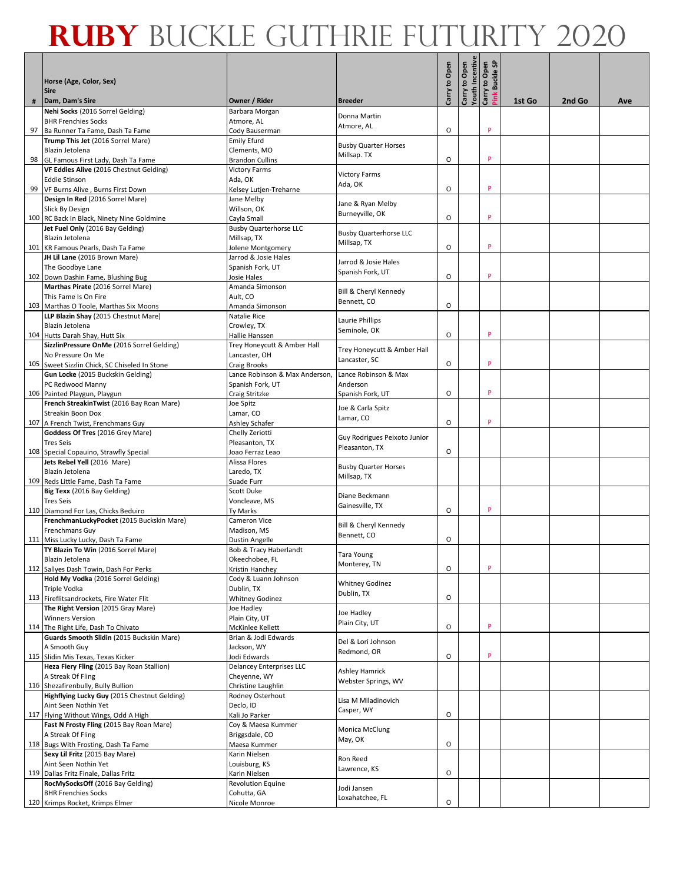|    |                                                                                 |                                                 |                                              |               | Carry to Open<br>Youth Incentive<br>Carry to Open<br>Pink Buckle SP |   |        |        |     |
|----|---------------------------------------------------------------------------------|-------------------------------------------------|----------------------------------------------|---------------|---------------------------------------------------------------------|---|--------|--------|-----|
|    | Horse (Age, Color, Sex)                                                         |                                                 |                                              | Carry to Open |                                                                     |   |        |        |     |
|    | <b>Sire</b>                                                                     |                                                 |                                              |               |                                                                     |   |        |        |     |
| #  | Dam, Dam's Sire<br>Nehi Socks (2016 Sorrel Gelding)                             | Owner / Rider<br>Barbara Morgan                 | <b>Breeder</b>                               |               |                                                                     |   | 1st Go | 2nd Go | Ave |
|    | <b>BHR Frenchies Socks</b>                                                      | Atmore, AL                                      | Donna Martin                                 |               |                                                                     |   |        |        |     |
| 97 | Ba Runner Ta Fame, Dash Ta Fame                                                 | Cody Bauserman                                  | Atmore, AL                                   | $\circ$       |                                                                     | P |        |        |     |
|    | Trump This Jet (2016 Sorrel Mare)                                               | <b>Emily Efurd</b>                              | <b>Busby Quarter Horses</b>                  |               |                                                                     |   |        |        |     |
|    | Blazin Jetolena<br>98 GL Famous First Lady, Dash Ta Fame                        | Clements, MO<br><b>Brandon Cullins</b>          | Millsap. TX                                  | O             |                                                                     | P |        |        |     |
|    | VF Eddies Alive (2016 Chestnut Gelding)                                         | <b>Victory Farms</b>                            |                                              |               |                                                                     |   |        |        |     |
|    | <b>Eddie Stinson</b>                                                            | Ada, OK                                         | <b>Victory Farms</b><br>Ada, OK              |               |                                                                     |   |        |        |     |
|    | 99 VF Burns Alive, Burns First Down<br>Design In Red (2016 Sorrel Mare)         | Kelsey Lutjen-Treharne<br>Jane Melby            |                                              | O             |                                                                     | P |        |        |     |
|    | Slick By Design                                                                 | Willson, OK                                     | Jane & Ryan Melby                            |               |                                                                     |   |        |        |     |
|    | 100 RC Back In Black, Ninety Nine Goldmine                                      | Cayla Small                                     | Burneyville, OK                              | O             |                                                                     | P |        |        |     |
|    | Jet Fuel Only (2016 Bay Gelding)                                                | <b>Busby Quarterhorse LLC</b>                   | <b>Busby Quarterhorse LLC</b>                |               |                                                                     |   |        |        |     |
|    | Blazin Jetolena<br>101 KR Famous Pearls, Dash Ta Fame                           | Millsap, TX<br>Jolene Montgomery                | Millsap, TX                                  | O             |                                                                     | P |        |        |     |
|    | JH Lil Lane (2016 Brown Mare)                                                   | Jarrod & Josie Hales                            | Jarrod & Josie Hales                         |               |                                                                     |   |        |        |     |
|    | The Goodbye Lane                                                                | Spanish Fork, UT                                | Spanish Fork, UT                             |               |                                                                     |   |        |        |     |
|    | 102 Down Dashin Fame, Blushing Bug                                              | Josie Hales                                     |                                              | $\circ$       |                                                                     | P |        |        |     |
|    | Marthas Pirate (2016 Sorrel Mare)<br>This Fame Is On Fire                       | Amanda Simonson<br>Ault, CO                     | Bill & Cheryl Kennedy                        |               |                                                                     |   |        |        |     |
|    | 103 Marthas O Toole, Marthas Six Moons                                          | Amanda Simonson                                 | Bennett, CO                                  | O             |                                                                     |   |        |        |     |
|    | LLP Blazin Shay (2015 Chestnut Mare)                                            | Natalie Rice                                    | Laurie Phillips                              |               |                                                                     |   |        |        |     |
|    | Blazin Jetolena                                                                 | Crowley, TX                                     | Seminole, OK                                 | O             |                                                                     | P |        |        |     |
|    | 104 Hutts Darah Shay, Hutt Six<br>SizzlinPressure OnMe (2016 Sorrel Gelding)    | Hallie Hanssen<br>Trey Honeycutt & Amber Hall   |                                              |               |                                                                     |   |        |        |     |
|    | No Pressure On Me                                                               | Lancaster, OH                                   | Trey Honeycutt & Amber Hall<br>Lancaster, SC |               |                                                                     |   |        |        |     |
|    | 105 Sweet Sizzlin Chick, SC Chiseled In Stone                                   | Craig Brooks                                    |                                              | O             |                                                                     | P |        |        |     |
|    | Gun Locke (2015 Buckskin Gelding)                                               | Lance Robinson & Max Anderson,                  | Lance Robinson & Max                         |               |                                                                     |   |        |        |     |
|    | PC Redwood Manny<br>106 Painted Playgun, Playgun                                | Spanish Fork, UT<br>Craig Stritzke              | Anderson<br>Spanish Fork, UT                 | O             |                                                                     | P |        |        |     |
|    | French StreakinTwist (2016 Bay Roan Mare)                                       | Joe Spitz                                       |                                              |               |                                                                     |   |        |        |     |
|    | Streakin Boon Dox                                                               | Lamar, CO                                       | Joe & Carla Spitz<br>Lamar, CO               |               |                                                                     |   |        |        |     |
|    | 107 A French Twist, Frenchmans Guy<br>Goddess Of Tres (2016 Grey Mare)          | Ashley Schafer                                  |                                              | $\circ$       |                                                                     | P |        |        |     |
|    | <b>Tres Seis</b>                                                                | Chelly Zeriotti<br>Pleasanton, TX               | Guy Rodrigues Peixoto Junior                 |               |                                                                     |   |        |        |     |
|    | 108 Special Copauino, Strawfly Special                                          | Joao Ferraz Leao                                | Pleasanton, TX                               | O             |                                                                     |   |        |        |     |
|    | Jets Rebel Yell (2016 Mare)                                                     | Alissa Flores                                   | <b>Busby Quarter Horses</b>                  |               |                                                                     |   |        |        |     |
|    | Blazin Jetolena<br>109 Reds Little Fame, Dash Ta Fame                           | Laredo, TX<br>Suade Furr                        | Millsap, TX                                  |               |                                                                     |   |        |        |     |
|    | Big Texx (2016 Bay Gelding)                                                     | <b>Scott Duke</b>                               |                                              |               |                                                                     |   |        |        |     |
|    | <b>Tres Seis</b>                                                                | Voncleave, MS                                   | Diane Beckmann<br>Gainesville, TX            |               |                                                                     |   |        |        |     |
|    | 110 Diamond For Las, Chicks Beduiro                                             | Ty Marks                                        |                                              | O             |                                                                     | P |        |        |     |
|    | FrenchmanLuckyPocket (2015 Buckskin Mare)<br><b>Frenchmans Guy</b>              | Cameron Vice<br>Madison, MS                     | Bill & Cheryl Kennedy                        |               |                                                                     |   |        |        |     |
|    | 111 Miss Lucky Lucky, Dash Ta Fame                                              | Dustin Angelle                                  | Bennett, CO                                  | O             |                                                                     |   |        |        |     |
|    | TY Blazin To Win (2016 Sorrel Mare)                                             | Bob & Tracy Haberlandt                          | <b>Tara Young</b>                            |               |                                                                     |   |        |        |     |
|    | Blazin Jetolena                                                                 | Okeechobee, FL                                  | Monterey, TN                                 | $\circ$       |                                                                     | P |        |        |     |
|    | 112 Sallyes Dash Towin, Dash For Perks<br>Hold My Vodka (2016 Sorrel Gelding)   | Kristin Hanchey<br>Cody & Luann Johnson         |                                              |               |                                                                     |   |        |        |     |
|    | <b>Triple Vodka</b>                                                             | Dublin, TX                                      | <b>Whitney Godinez</b>                       |               |                                                                     |   |        |        |     |
|    | 113 Fireflitsandrockets, Fire Water Flit                                        | <b>Whitney Godinez</b>                          | Dublin, TX                                   | $\mathsf O$   |                                                                     |   |        |        |     |
|    | The Right Version (2015 Gray Mare)<br><b>Winners Version</b>                    | Joe Hadley<br>Plain City, UT                    | Joe Hadley                                   |               |                                                                     |   |        |        |     |
|    | 114 The Right Life, Dash To Chivato                                             | McKinlee Kellett                                | Plain City, UT                               | O             |                                                                     | P |        |        |     |
|    | Guards Smooth Slidin (2015 Buckskin Mare)                                       | Brian & Jodi Edwards                            | Del & Lori Johnson                           |               |                                                                     |   |        |        |     |
|    | A Smooth Guy                                                                    | Jackson, WY                                     | Redmond, OR                                  |               |                                                                     |   |        |        |     |
|    | 115 Slidin Mis Texas, Texas Kicker<br>Heza Fiery Fling (2015 Bay Roan Stallion) | Jodi Edwards<br><b>Delancey Enterprises LLC</b> |                                              | O             |                                                                     | P |        |        |     |
|    | A Streak Of Fling                                                               | Cheyenne, WY                                    | <b>Ashley Hamrick</b>                        |               |                                                                     |   |        |        |     |
|    | 116 Shezafirenbully, Bully Bullion                                              | Christine Laughlin                              | Webster Springs, WV                          |               |                                                                     |   |        |        |     |
|    | Highflying Lucky Guy (2015 Chestnut Gelding)                                    | Rodney Osterhout                                | Lisa M Miladinovich                          |               |                                                                     |   |        |        |     |
|    | Aint Seen Nothin Yet<br>117 Flying Without Wings, Odd A High                    | Declo, ID<br>Kali Jo Parker                     | Casper, WY                                   | O             |                                                                     |   |        |        |     |
|    | Fast N Frosty Fling (2015 Bay Roan Mare)                                        | Coy & Maesa Kummer                              |                                              |               |                                                                     |   |        |        |     |
|    | A Streak Of Fling                                                               | Briggsdale, CO                                  | Monica McClung<br>May, OK                    |               |                                                                     |   |        |        |     |
|    | 118 Bugs With Frosting, Dash Ta Fame                                            | Maesa Kummer                                    |                                              | O             |                                                                     |   |        |        |     |
|    | Sexy Lil Fritz (2015 Bay Mare)<br>Aint Seen Nothin Yet                          | Karin Nielsen<br>Louisburg, KS                  | Ron Reed                                     |               |                                                                     |   |        |        |     |
|    | 119 Dallas Fritz Finale, Dallas Fritz                                           | Karin Nielsen                                   | Lawrence, KS                                 | O             |                                                                     |   |        |        |     |
|    | RocMySocksOff (2016 Bay Gelding)                                                | <b>Revolution Equine</b>                        | Jodi Jansen                                  |               |                                                                     |   |        |        |     |
|    | <b>BHR Frenchies Socks</b>                                                      | Cohutta, GA                                     | Loxahatchee, FL                              | $\circ$       |                                                                     |   |        |        |     |
|    | 120 Krimps Rocket, Krimps Elmer                                                 | Nicole Monroe                                   |                                              |               |                                                                     |   |        |        |     |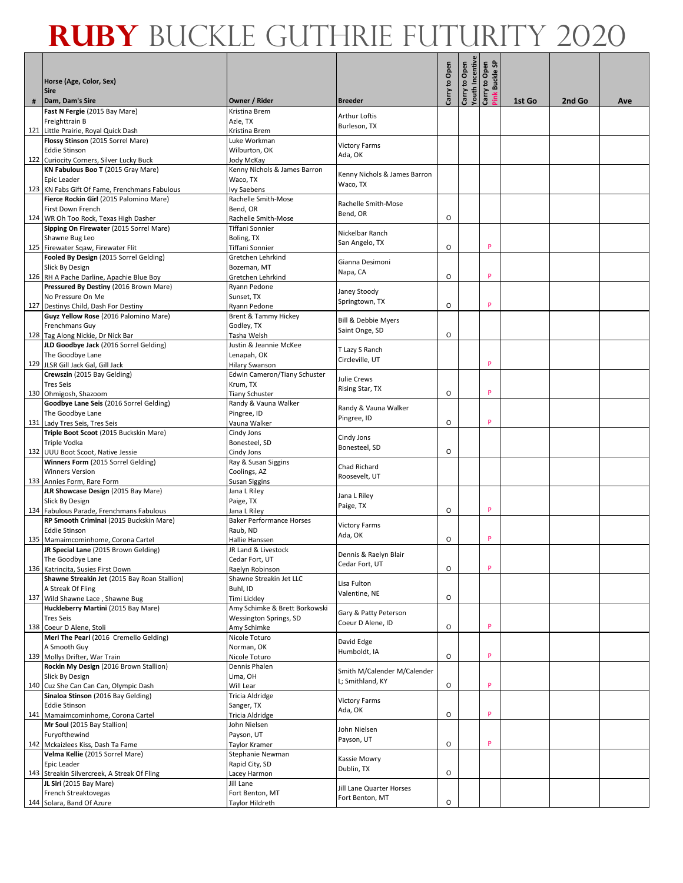|   | Horse (Age, Color, Sex)<br><b>Sire</b>                                         |                                                |                                       | Carry to Open | Carry to Open<br>Youth Incentive<br>Carry to Open | Pink Buckle SP |        |        |     |
|---|--------------------------------------------------------------------------------|------------------------------------------------|---------------------------------------|---------------|---------------------------------------------------|----------------|--------|--------|-----|
| # | Dam, Dam's Sire                                                                | Owner / Rider                                  | <b>Breeder</b>                        |               |                                                   |                | 1st Go | 2nd Go | Ave |
|   | Fast N Fergie (2015 Bay Mare)<br>Freighttrain B                                | Kristina Brem<br>Azle, TX                      | <b>Arthur Loftis</b>                  |               |                                                   |                |        |        |     |
|   | 121 Little Prairie, Royal Quick Dash                                           | Kristina Brem                                  | Burleson, TX                          |               |                                                   |                |        |        |     |
|   | Flossy Stinson (2015 Sorrel Mare)                                              | Luke Workman                                   | <b>Victory Farms</b>                  |               |                                                   |                |        |        |     |
|   | <b>Eddie Stinson</b>                                                           | Wilburton, OK                                  | Ada, OK                               |               |                                                   |                |        |        |     |
|   | 122 Curiocity Corners, Silver Lucky Buck<br>KN Fabulous Boo T (2015 Gray Mare) | Jody McKay<br>Kenny Nichols & James Barron     |                                       |               |                                                   |                |        |        |     |
|   | Epic Leader                                                                    | Waco, TX                                       | Kenny Nichols & James Barron          |               |                                                   |                |        |        |     |
|   | 123 KN Fabs Gift Of Fame, Frenchmans Fabulous                                  | Ivy Saebens                                    | Waco, TX                              |               |                                                   |                |        |        |     |
|   | Fierce Rockin Girl (2015 Palomino Mare)                                        | Rachelle Smith-Mose                            | Rachelle Smith-Mose                   |               |                                                   |                |        |        |     |
|   | First Down French                                                              | Bend, OR                                       | Bend, OR                              |               |                                                   |                |        |        |     |
|   | 124 WR Oh Too Rock, Texas High Dasher                                          | Rachelle Smith-Mose                            |                                       | O             |                                                   |                |        |        |     |
|   | Sipping On Firewater (2015 Sorrel Mare)<br>Shawne Bug Leo                      | Tiffani Sonnier<br>Boling, TX                  | Nickelbar Ranch                       |               |                                                   |                |        |        |     |
|   | 125 Firewater Sqaw, Firewater Flit                                             | Tiffani Sonnier                                | San Angelo, TX                        | O             |                                                   | P              |        |        |     |
|   | Fooled By Design (2015 Sorrel Gelding)                                         | Gretchen Lehrkind                              | Gianna Desimoni                       |               |                                                   |                |        |        |     |
|   | Slick By Design                                                                | Bozeman, MT                                    | Napa, CA                              |               |                                                   |                |        |        |     |
|   | 126 RH A Pache Darline, Apachie Blue Boy                                       | Gretchen Lehrkind                              |                                       | O             |                                                   | P              |        |        |     |
|   | Pressured By Destiny (2016 Brown Mare)                                         | Ryann Pedone                                   | Janey Stoody                          |               |                                                   |                |        |        |     |
|   | No Pressure On Me<br>127 Destinys Child, Dash For Destiny                      | Sunset, TX<br>Ryann Pedone                     | Springtown, TX                        | O             |                                                   | P              |        |        |     |
|   | Guyz Yellow Rose (2016 Palomino Mare)                                          | Brent & Tammy Hickey                           |                                       |               |                                                   |                |        |        |     |
|   | <b>Frenchmans Guy</b>                                                          | Godley, TX                                     | Bill & Debbie Myers<br>Saint Onge, SD |               |                                                   |                |        |        |     |
|   | 128 Tag Along Nickie, Dr Nick Bar                                              | Tasha Welsh                                    |                                       | O             |                                                   |                |        |        |     |
|   | JLD Goodbye Jack (2016 Sorrel Gelding)                                         | Justin & Jeannie McKee                         | T Lazy S Ranch                        |               |                                                   |                |        |        |     |
|   | The Goodbye Lane<br>129 JLSR Gill Jack Gal, Gill Jack                          | Lenapah, OK                                    | Circleville, UT                       |               |                                                   | P              |        |        |     |
|   | Crewszin (2015 Bay Gelding)                                                    | Hilary Swanson<br>Edwin Cameron/Tiany Schuster |                                       |               |                                                   |                |        |        |     |
|   | <b>Tres Seis</b>                                                               | Krum, TX                                       | Julie Crews                           |               |                                                   |                |        |        |     |
|   | 130 Ohmigosh, Shazoom                                                          | <b>Tiany Schuster</b>                          | Rising Star, TX                       | O             |                                                   | P              |        |        |     |
|   | Goodbye Lane Seis (2016 Sorrel Gelding)                                        | Randy & Vauna Walker                           | Randy & Vauna Walker                  |               |                                                   |                |        |        |     |
|   | The Goodbye Lane                                                               | Pingree, ID                                    | Pingree, ID                           |               |                                                   | P              |        |        |     |
|   | 131 Lady Tres Seis, Tres Seis<br>Triple Boot Scoot (2015 Buckskin Mare)        | Vauna Walker<br>Cindy Jons                     |                                       | O             |                                                   |                |        |        |     |
|   | Triple Vodka                                                                   | Bonesteel, SD                                  | Cindy Jons                            |               |                                                   |                |        |        |     |
|   | 132 UUU Boot Scoot, Native Jessie                                              | Cindy Jons                                     | Bonesteel, SD                         | O             |                                                   |                |        |        |     |
|   | Winners Form (2015 Sorrel Gelding)                                             | Ray & Susan Siggins                            | Chad Richard                          |               |                                                   |                |        |        |     |
|   | <b>Winners Version</b>                                                         | Coolings, AZ                                   | Roosevelt, UT                         |               |                                                   |                |        |        |     |
|   | 133 Annies Form, Rare Form<br>JLR Showcase Design (2015 Bay Mare)              | Susan Siggins<br>Jana L Riley                  |                                       |               |                                                   |                |        |        |     |
|   | Slick By Design                                                                | Paige, TX                                      | Jana L Riley                          |               |                                                   |                |        |        |     |
|   | 134 Fabulous Parade, Frenchmans Fabulous                                       | Jana L Riley                                   | Paige, TX                             | O             |                                                   | P              |        |        |     |
|   | RP Smooth Criminal (2015 Buckskin Mare)                                        | <b>Baker Performance Horses</b>                | <b>Victory Farms</b>                  |               |                                                   |                |        |        |     |
|   | <b>Eddie Stinson</b>                                                           | Raub, ND                                       | Ada, OK                               |               |                                                   |                |        |        |     |
|   | 135 Mamaimcominhome, Corona Cartel                                             | Hallie Hanssen                                 |                                       | O             |                                                   | P              |        |        |     |
|   | JR Special Lane (2015 Brown Gelding)<br>The Goodbye Lane                       | JR Land & Livestock<br>Cedar Fort, UT          | Dennis & Raelyn Blair                 |               |                                                   |                |        |        |     |
|   | 136 Katrincita, Susies First Down                                              | Raelyn Robinson                                | Cedar Fort, UT                        | O             |                                                   | P              |        |        |     |
|   | Shawne Streakin Jet (2015 Bay Roan Stallion)                                   | Shawne Streakin Jet LLC                        | Lisa Fulton                           |               |                                                   |                |        |        |     |
|   | A Streak Of Fling                                                              | Buhl, ID                                       | Valentine, NE                         |               |                                                   |                |        |        |     |
|   | 137 Wild Shawne Lace, Shawne Bug<br>Huckleberry Martini (2015 Bay Mare)        | Timi Lickley<br>Amy Schimke & Brett Borkowski  |                                       | O             |                                                   |                |        |        |     |
|   | <b>Tres Seis</b>                                                               | <b>Wessington Springs, SD</b>                  | Gary & Patty Peterson                 |               |                                                   |                |        |        |     |
|   | 138 Coeur D Alene, Stoli                                                       | Amy Schimke                                    | Coeur D Alene, ID                     | O             |                                                   | P              |        |        |     |
|   | Merl The Pearl (2016 Cremello Gelding)                                         | Nicole Toturo                                  | David Edge                            |               |                                                   |                |        |        |     |
|   | A Smooth Guy                                                                   | Norman, OK                                     | Humboldt, IA                          |               |                                                   |                |        |        |     |
|   | 139 Mollys Drifter, War Train<br>Rockin My Design (2016 Brown Stallion)        | Nicole Toturo<br>Dennis Phalen                 |                                       | O             |                                                   | P              |        |        |     |
|   | Slick By Design                                                                | Lima, OH                                       | Smith M/Calender M/Calender           |               |                                                   |                |        |        |     |
|   | 140 Cuz She Can Can Can, Olympic Dash                                          | Will Lear                                      | L; Smithland, KY                      | O             |                                                   | P              |        |        |     |
|   | Sinaloa Stinson (2016 Bay Gelding)                                             | Tricia Aldridge                                | <b>Victory Farms</b>                  |               |                                                   |                |        |        |     |
|   | <b>Eddie Stinson</b>                                                           | Sanger, TX                                     | Ada, OK                               |               |                                                   |                |        |        |     |
|   | 141 Mamaimcominhome, Corona Cartel                                             | Tricia Aldridge                                |                                       | O             |                                                   | p              |        |        |     |
|   | Mr Soul (2015 Bay Stallion)<br>Furyofthewind                                   | John Nielsen<br>Payson, UT                     | John Nielsen                          |               |                                                   |                |        |        |     |
|   | 142 Mckaizlees Kiss, Dash Ta Fame                                              | Taylor Kramer                                  | Payson, UT                            | O             |                                                   | P              |        |        |     |
|   | Velma Kellie (2015 Sorrel Mare)                                                | Stephanie Newman                               | Kassie Mowry                          |               |                                                   |                |        |        |     |
|   | Epic Leader                                                                    | Rapid City, SD                                 | Dublin, TX                            |               |                                                   |                |        |        |     |
|   | 143 Streakin Silvercreek, A Streak Of Fling                                    | Lacey Harmon                                   |                                       | O             |                                                   |                |        |        |     |
|   | JL Siri (2015 Bay Mare)<br>French Streaktovegas                                | Jill Lane<br>Fort Benton, MT                   | Jill Lane Quarter Horses              |               |                                                   |                |        |        |     |
|   | 144 Solara, Band Of Azure                                                      | Taylor Hildreth                                | Fort Benton, MT                       | О             |                                                   |                |        |        |     |
|   |                                                                                |                                                |                                       |               |                                                   |                |        |        |     |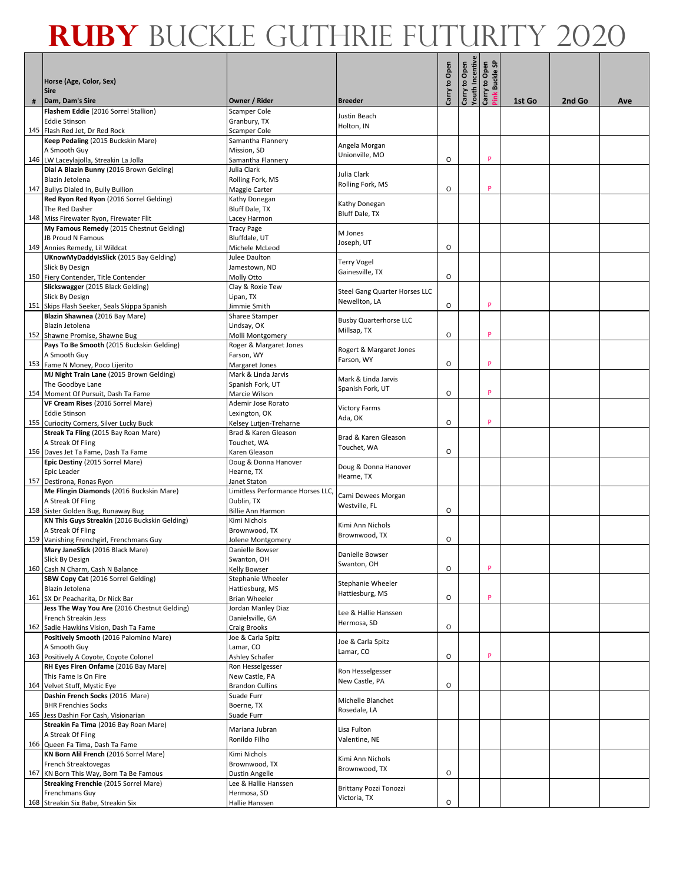|   |                                                                                     |                                          |                                |               | Carry to Open<br>Youth Incentive<br>Carry to Open<br>Pink Buckle SP |   |        |        |     |
|---|-------------------------------------------------------------------------------------|------------------------------------------|--------------------------------|---------------|---------------------------------------------------------------------|---|--------|--------|-----|
|   | Horse (Age, Color, Sex)<br><b>Sire</b>                                              |                                          |                                | Carry to Open |                                                                     |   |        |        |     |
| # | Dam, Dam's Sire                                                                     | Owner / Rider                            | <b>Breeder</b>                 |               |                                                                     |   | 1st Go | 2nd Go | Ave |
|   | Flashem Eddie (2016 Sorrel Stallion)<br><b>Eddie Stinson</b>                        | <b>Scamper Cole</b><br>Granbury, TX      | Justin Beach                   |               |                                                                     |   |        |        |     |
|   | 145 Flash Red Jet, Dr Red Rock                                                      | Scamper Cole                             | Holton, IN                     |               |                                                                     |   |        |        |     |
|   | Keep Pedaling (2015 Buckskin Mare)                                                  | Samantha Flannery                        | Angela Morgan                  |               |                                                                     |   |        |        |     |
|   | A Smooth Guy                                                                        | Mission, SD                              | Unionville, MO                 |               |                                                                     |   |        |        |     |
|   | 146 LW Laceylajolla, Streakin La Jolla                                              | Samantha Flannery                        |                                | O             |                                                                     | P |        |        |     |
|   | Dial A Blazin Bunny (2016 Brown Gelding)                                            | Julia Clark                              | Julia Clark                    |               |                                                                     |   |        |        |     |
|   | Blazin Jetolena                                                                     | Rolling Fork, MS                         | Rolling Fork, MS               | O             |                                                                     | P |        |        |     |
|   | 147 Bullys Dialed In, Bully Bullion<br>Red Ryon Red Ryon (2016 Sorrel Gelding)      | Maggie Carter<br>Kathy Donegan           |                                |               |                                                                     |   |        |        |     |
|   | The Red Dasher                                                                      | Bluff Dale, TX                           | Kathy Donegan                  |               |                                                                     |   |        |        |     |
|   | 148 Miss Firewater Ryon, Firewater Flit                                             | Lacey Harmon                             | Bluff Dale, TX                 |               |                                                                     |   |        |        |     |
|   | My Famous Remedy (2015 Chestnut Gelding)                                            | <b>Tracy Page</b>                        |                                |               |                                                                     |   |        |        |     |
|   | JB Proud N Famous                                                                   | Bluffdale, UT                            | M Jones<br>Joseph, UT          |               |                                                                     |   |        |        |     |
|   | 149 Annies Remedy, Lil Wildcat                                                      | Michele McLeod                           |                                | O             |                                                                     |   |        |        |     |
|   | UKnowMyDaddyIsSlick (2015 Bay Gelding)                                              | Julee Daulton                            | <b>Terry Vogel</b>             |               |                                                                     |   |        |        |     |
|   | Slick By Design                                                                     | Jamestown, ND                            | Gainesville, TX                | O             |                                                                     |   |        |        |     |
|   | 150 Fiery Contender, Title Contender<br>Slickswagger (2015 Black Gelding)           | Molly Otto                               |                                |               |                                                                     |   |        |        |     |
|   | Slick By Design                                                                     | Clay & Roxie Tew<br>Lipan, TX            | Steel Gang Quarter Horses LLC  |               |                                                                     |   |        |        |     |
|   | 151 Skips Flash Seeker, Seals Skippa Spanish                                        | Jimmie Smith                             | Newellton, LA                  | O             |                                                                     | P |        |        |     |
|   | Blazin Shawnea (2016 Bay Mare)                                                      | Sharee Stamper                           |                                |               |                                                                     |   |        |        |     |
|   | Blazin Jetolena                                                                     | Lindsay, OK                              | <b>Busby Quarterhorse LLC</b>  |               |                                                                     |   |        |        |     |
|   | 152 Shawne Promise, Shawne Bug                                                      | Molli Montgomery                         | Millsap, TX                    | O             |                                                                     | P |        |        |     |
|   | Pays To Be Smooth (2015 Buckskin Gelding)                                           | Roger & Margaret Jones                   | Rogert & Margaret Jones        |               |                                                                     |   |        |        |     |
|   | A Smooth Guy                                                                        | Farson, WY                               | Farson, WY                     |               |                                                                     | P |        |        |     |
|   | 153 Fame N Money, Poco Lijerito                                                     | Margaret Jones                           |                                | O             |                                                                     |   |        |        |     |
|   | MJ Night Train Lane (2015 Brown Gelding)<br>The Goodbye Lane                        | Mark & Linda Jarvis<br>Spanish Fork, UT  | Mark & Linda Jarvis            |               |                                                                     |   |        |        |     |
|   | 154 Moment Of Pursuit, Dash Ta Fame                                                 | Marcie Wilson                            | Spanish Fork, UT               | O             |                                                                     | P |        |        |     |
|   | VF Cream Rises (2016 Sorrel Mare)                                                   | Ademir Jose Rorato                       |                                |               |                                                                     |   |        |        |     |
|   | <b>Eddie Stinson</b>                                                                | Lexington, OK                            | <b>Victory Farms</b>           |               |                                                                     |   |        |        |     |
|   | 155 Curiocity Corners, Silver Lucky Buck                                            | Kelsey Lutjen-Treharne                   | Ada, OK                        | O             |                                                                     | P |        |        |     |
|   | Streak Ta Fling (2015 Bay Roan Mare)                                                | Brad & Karen Gleason                     | Brad & Karen Gleason           |               |                                                                     |   |        |        |     |
|   | A Streak Of Fling                                                                   | Touchet, WA                              | Touchet, WA                    |               |                                                                     |   |        |        |     |
|   | 156 Daves Jet Ta Fame, Dash Ta Fame<br>Epic Destiny (2015 Sorrel Mare)              | Karen Gleason<br>Doug & Donna Hanover    |                                | O             |                                                                     |   |        |        |     |
|   | Epic Leader                                                                         | Hearne, TX                               | Doug & Donna Hanover           |               |                                                                     |   |        |        |     |
|   | 157 Destirona, Ronas Ryon                                                           | Janet Staton                             | Hearne, TX                     |               |                                                                     |   |        |        |     |
|   | Me Flingin Diamonds (2016 Buckskin Mare)                                            | Limitless Performance Horses LLC,        | Cami Dewees Morgan             |               |                                                                     |   |        |        |     |
|   | A Streak Of Fling                                                                   | Dublin, TX                               | Westville, FL                  |               |                                                                     |   |        |        |     |
|   | 158 Sister Golden Bug, Runaway Bug<br>KN This Guys Streakin (2016 Buckskin Gelding) | <b>Billie Ann Harmon</b>                 |                                | O             |                                                                     |   |        |        |     |
|   | A Streak Of Fling                                                                   | Kimi Nichols<br>Brownwood, TX            | Kimi Ann Nichols               |               |                                                                     |   |        |        |     |
|   | 159 Vanishing Frenchgirl, Frenchmans Guy                                            | Jolene Montgomery                        | Brownwood, TX                  | O             |                                                                     |   |        |        |     |
|   | Mary JaneSlick (2016 Black Mare)                                                    | Danielle Bowser                          |                                |               |                                                                     |   |        |        |     |
|   | Slick By Design                                                                     | Swanton, OH                              | Danielle Bowser<br>Swanton, OH |               |                                                                     |   |        |        |     |
|   | 160 Cash N Charm, Cash N Balance                                                    | Kelly Bowser                             |                                | O             |                                                                     | P |        |        |     |
|   | SBW Copy Cat (2016 Sorrel Gelding)                                                  | Stephanie Wheeler                        | Stephanie Wheeler              |               |                                                                     |   |        |        |     |
|   | Blazin Jetolena<br>161 SX Dr Peacharita, Dr Nick Bar                                | Hattiesburg, MS<br>Brian Wheeler         | Hattiesburg, MS                | O             |                                                                     | P |        |        |     |
|   | Jess The Way You Are (2016 Chestnut Gelding)                                        | Jordan Manley Diaz                       |                                |               |                                                                     |   |        |        |     |
|   | French Streakin Jess                                                                | Danielsville, GA                         | Lee & Hallie Hanssen           |               |                                                                     |   |        |        |     |
|   | 162 Sadie Hawkins Vision, Dash Ta Fame                                              | <b>Craig Brooks</b>                      | Hermosa, SD                    | О             |                                                                     |   |        |        |     |
|   | Positively Smooth (2016 Palomino Mare)                                              | Joe & Carla Spitz                        | Joe & Carla Spitz              |               |                                                                     |   |        |        |     |
|   | A Smooth Guy                                                                        | Lamar, CO                                | Lamar, CO                      |               |                                                                     |   |        |        |     |
|   | 163 Positively A Coyote, Coyote Colonel                                             | Ashley Schafer                           |                                | O             |                                                                     | P |        |        |     |
|   | RH Eyes Firen Onfame (2016 Bay Mare)<br>This Fame Is On Fire                        | Ron Hesselgesser                         | Ron Hesselgesser               |               |                                                                     |   |        |        |     |
|   | 164 Velvet Stuff, Mystic Eye                                                        | New Castle, PA<br><b>Brandon Cullins</b> | New Castle, PA                 | O             |                                                                     |   |        |        |     |
|   | Dashin French Socks (2016 Mare)                                                     | Suade Furr                               |                                |               |                                                                     |   |        |        |     |
|   | <b>BHR Frenchies Socks</b>                                                          | Boerne, TX                               | Michelle Blanchet              |               |                                                                     |   |        |        |     |
|   | 165 Jess Dashin For Cash, Visionarian                                               | Suade Furr                               | Rosedale, LA                   |               |                                                                     |   |        |        |     |
|   | Streakin Fa Tima (2016 Bay Roan Mare)                                               | Mariana Jubran                           | Lisa Fulton                    |               |                                                                     |   |        |        |     |
|   | A Streak Of Fling                                                                   | Ronildo Filho                            | Valentine, NE                  |               |                                                                     |   |        |        |     |
|   | 166 Queen Fa Tima, Dash Ta Fame<br>KN Born Alil French (2016 Sorrel Mare)           | Kimi Nichols                             |                                |               |                                                                     |   |        |        |     |
|   | French Streaktovegas                                                                | Brownwood, TX                            | Kimi Ann Nichols               |               |                                                                     |   |        |        |     |
|   | 167 KN Born This Way, Born Ta Be Famous                                             | Dustin Angelle                           | Brownwood, TX                  | O             |                                                                     |   |        |        |     |
|   | Streaking Frenchie (2015 Sorrel Mare)                                               | Lee & Hallie Hanssen                     | Brittany Pozzi Tonozzi         |               |                                                                     |   |        |        |     |
|   | Frenchmans Guy                                                                      | Hermosa, SD                              | Victoria, TX                   |               |                                                                     |   |        |        |     |
|   | 168 Streakin Six Babe, Streakin Six                                                 | Hallie Hanssen                           |                                | О             |                                                                     |   |        |        |     |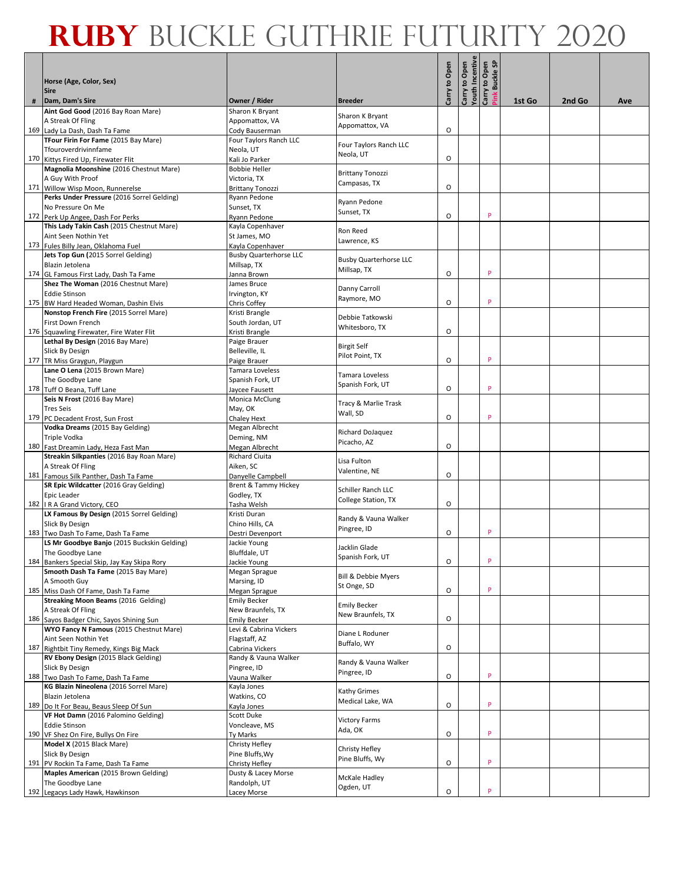|   |                                                                                  |                                           |                                    |               | Carry to Open<br>Youth Incentive<br>Carry to Open<br>Pink Buckle SP |   |        |        |     |
|---|----------------------------------------------------------------------------------|-------------------------------------------|------------------------------------|---------------|---------------------------------------------------------------------|---|--------|--------|-----|
|   | Horse (Age, Color, Sex)<br><b>Sire</b>                                           |                                           |                                    | Carry to Open |                                                                     |   |        |        |     |
| # | Dam, Dam's Sire                                                                  | Owner / Rider                             | <b>Breeder</b>                     |               |                                                                     |   | 1st Go | 2nd Go | Ave |
|   | Aint God Good (2016 Bay Roan Mare)<br>A Streak Of Fling                          | Sharon K Bryant<br>Appomattox, VA         | Sharon K Bryant                    |               |                                                                     |   |        |        |     |
|   | 169 Lady La Dash, Dash Ta Fame                                                   | Cody Bauserman                            | Appomattox, VA                     | O             |                                                                     |   |        |        |     |
|   | TFour Firin For Fame (2015 Bay Mare)                                             | Four Taylors Ranch LLC                    |                                    |               |                                                                     |   |        |        |     |
|   | Tfouroverdrivinnfame                                                             | Neola, UT                                 | Four Taylors Ranch LLC             |               |                                                                     |   |        |        |     |
|   | 170 Kittys Fired Up, Firewater Flit                                              | Kali Jo Parker                            | Neola, UT                          | O             |                                                                     |   |        |        |     |
|   | Magnolia Moonshine (2016 Chestnut Mare)                                          | <b>Bobbie Heller</b>                      | <b>Brittany Tonozzi</b>            |               |                                                                     |   |        |        |     |
|   | A Guy With Proof                                                                 | Victoria, TX                              | Campasas, TX                       |               |                                                                     |   |        |        |     |
|   | 171 Willow Wisp Moon, Runnerelse                                                 | <b>Brittany Tonozzi</b>                   |                                    | O             |                                                                     |   |        |        |     |
|   | Perks Under Pressure (2016 Sorrel Gelding)<br>No Pressure On Me                  | Ryann Pedone<br>Sunset, TX                | Ryann Pedone                       |               |                                                                     |   |        |        |     |
|   | 172 Perk Up Angee, Dash For Perks                                                | Ryann Pedone                              | Sunset, TX                         | O             |                                                                     | P |        |        |     |
|   | This Lady Takin Cash (2015 Chestnut Mare)                                        | Kayla Copenhaver                          |                                    |               |                                                                     |   |        |        |     |
|   | Aint Seen Nothin Yet                                                             | St James, MO                              | Ron Reed                           |               |                                                                     |   |        |        |     |
|   | 173 Fules Billy Jean, Oklahoma Fuel                                              | Kayla Copenhaver                          | Lawrence, KS                       |               |                                                                     |   |        |        |     |
|   | Jets Top Gun (2015 Sorrel Gelding)                                               | <b>Busby Quarterhorse LLC</b>             | <b>Busby Quarterhorse LLC</b>      |               |                                                                     |   |        |        |     |
|   | Blazin Jetolena                                                                  | Millsap, TX                               | Millsap, TX                        |               |                                                                     |   |        |        |     |
|   | 174 GL Famous First Lady, Dash Ta Fame                                           | Janna Brown                               |                                    | O             |                                                                     | P |        |        |     |
|   | Shez The Woman (2016 Chestnut Mare)<br><b>Eddie Stinson</b>                      | James Bruce<br>Irvington, KY              | Danny Carroll                      |               |                                                                     |   |        |        |     |
|   | 175 BW Hard Headed Woman, Dashin Elvis                                           | Chris Coffey                              | Raymore, MO                        | O             |                                                                     | P |        |        |     |
|   | Nonstop French Fire (2015 Sorrel Mare)                                           | Kristi Brangle                            |                                    |               |                                                                     |   |        |        |     |
|   | First Down French                                                                | South Jordan, UT                          | Debbie Tatkowski<br>Whitesboro, TX |               |                                                                     |   |        |        |     |
|   | 176 Squawling Firewater, Fire Water Flit                                         | Kristi Brangle                            |                                    | O             |                                                                     |   |        |        |     |
|   | Lethal By Design (2016 Bay Mare)                                                 | Paige Brauer                              | <b>Birgit Self</b>                 |               |                                                                     |   |        |        |     |
|   | Slick By Design<br>177 TR Miss Graygun, Playgun                                  | Belleville, IL<br>Paige Brauer            | Pilot Point, TX                    | O             |                                                                     | P |        |        |     |
|   | Lane O Lena (2015 Brown Mare)                                                    | Tamara Loveless                           |                                    |               |                                                                     |   |        |        |     |
|   | The Goodbye Lane                                                                 | Spanish Fork, UT                          | Tamara Loveless                    |               |                                                                     |   |        |        |     |
|   | 178 Tuff O Beana, Tuff Lane                                                      | Jaycee Fausett                            | Spanish Fork, UT                   | O             |                                                                     | P |        |        |     |
|   | Seis N Frost (2016 Bay Mare)                                                     | Monica McClung                            | Tracy & Marlie Trask               |               |                                                                     |   |        |        |     |
|   | <b>Tres Seis</b>                                                                 | May, OK                                   | Wall, SD                           | O             |                                                                     | P |        |        |     |
|   | 179 PC Decadent Frost, Sun Frost<br>Vodka Dreams (2015 Bay Gelding)              | Chaley Hext<br>Megan Albrecht             |                                    |               |                                                                     |   |        |        |     |
|   | Triple Vodka                                                                     | Deming, NM                                | Richard DoJaquez                   |               |                                                                     |   |        |        |     |
|   | 180 Fast Dreamin Lady, Heza Fast Man                                             | Megan Albrecht                            | Picacho, AZ                        | O             |                                                                     |   |        |        |     |
|   | Streakin Silkpanties (2016 Bay Roan Mare)                                        | <b>Richard Ciuita</b>                     | Lisa Fulton                        |               |                                                                     |   |        |        |     |
|   | A Streak Of Fling                                                                | Aiken, SC                                 | Valentine, NE                      |               |                                                                     |   |        |        |     |
|   | 181 Famous Silk Panther, Dash Ta Fame<br>SR Epic Wildcatter (2016 Gray Gelding)  | Danyelle Campbell<br>Brent & Tammy Hickey |                                    | O             |                                                                     |   |        |        |     |
|   | Epic Leader                                                                      | Godley, TX                                | Schiller Ranch LLC                 |               |                                                                     |   |        |        |     |
|   | 182   R A Grand Victory, CEO                                                     | Tasha Welsh                               | <b>College Station, TX</b>         | O             |                                                                     |   |        |        |     |
|   | LX Famous By Design (2015 Sorrel Gelding)                                        | Kristi Duran                              | Randy & Vauna Walker               |               |                                                                     |   |        |        |     |
|   | Slick By Design                                                                  | Chino Hills, CA                           | Pingree, ID                        |               |                                                                     |   |        |        |     |
|   | 183 Two Dash To Fame, Dash Ta Fame                                               | Destri Devenport                          |                                    | O             |                                                                     | p |        |        |     |
|   | LS Mr Goodbye Banjo (2015 Buckskin Gelding)<br>The Goodbye Lane                  | Jackie Young<br>Bluffdale, UT             | Jacklin Glade                      |               |                                                                     |   |        |        |     |
|   | 184 Bankers Special Skip, Jay Kay Skipa Rory                                     | Jackie Young                              | Spanish Fork, UT                   | O             |                                                                     | P |        |        |     |
|   | Smooth Dash Ta Fame (2015 Bay Mare)                                              | Megan Sprague                             | Bill & Debbie Myers                |               |                                                                     |   |        |        |     |
|   | A Smooth Guy                                                                     | Marsing, ID                               | St Onge, SD                        |               |                                                                     |   |        |        |     |
|   | 185 Miss Dash Of Fame, Dash Ta Fame<br>Streaking Moon Beams (2016 Gelding)       | Megan Sprague<br><b>Emily Becker</b>      |                                    | O             |                                                                     | P |        |        |     |
|   | A Streak Of Fling                                                                | New Braunfels, TX                         | <b>Emily Becker</b>                |               |                                                                     |   |        |        |     |
|   | 186 Sayos Badger Chic, Sayos Shining Sun                                         | <b>Emily Becker</b>                       | New Braunfels, TX                  | O             |                                                                     |   |        |        |     |
|   | WYO Fancy N Famous (2015 Chestnut Mare)                                          | Levi & Cabrina Vickers                    | Diane L Roduner                    |               |                                                                     |   |        |        |     |
|   | Aint Seen Nothin Yet                                                             | Flagstaff, AZ                             | Buffalo, WY                        |               |                                                                     |   |        |        |     |
|   | 187 Rightbit Tiny Remedy, Kings Big Mack<br>RV Ebony Design (2015 Black Gelding) | Cabrina Vickers<br>Randy & Vauna Walker   |                                    | O             |                                                                     |   |        |        |     |
|   | Slick By Design                                                                  | Pingree, ID                               | Randy & Vauna Walker               |               |                                                                     |   |        |        |     |
|   | 188 Two Dash To Fame, Dash Ta Fame                                               | Vauna Walker                              | Pingree, ID                        | O             |                                                                     | P |        |        |     |
|   | KG Blazin Nineolena (2016 Sorrel Mare)                                           | Kayla Jones                               | Kathy Grimes                       |               |                                                                     |   |        |        |     |
|   | Blazin Jetolena                                                                  | Watkins, CO                               | Medical Lake, WA                   |               |                                                                     |   |        |        |     |
|   | 189 Do It For Beau, Beaus Sleep Of Sun<br>VF Hot Damn (2016 Palomino Gelding)    | Kayla Jones<br>Scott Duke                 |                                    | O             |                                                                     | P |        |        |     |
|   | <b>Eddie Stinson</b>                                                             | Voncleave, MS                             | <b>Victory Farms</b>               |               |                                                                     |   |        |        |     |
|   | 190 VF Shez On Fire, Bullys On Fire                                              | Ty Marks                                  | Ada, OK                            | O             |                                                                     | P |        |        |     |
|   | Model X (2015 Black Mare)                                                        | Christy Hefley                            | Christy Hefley                     |               |                                                                     |   |        |        |     |
|   | Slick By Design                                                                  | Pine Bluffs, Wy                           | Pine Bluffs, Wy                    |               |                                                                     |   |        |        |     |
|   | 191 PV Rockin Ta Fame, Dash Ta Fame<br>Maples American (2015 Brown Gelding)      | Christy Hefley<br>Dusty & Lacey Morse     |                                    | O             |                                                                     | P |        |        |     |
|   | The Goodbye Lane                                                                 | Randolph, UT                              | McKale Hadley                      |               |                                                                     |   |        |        |     |
|   | 192 Legacys Lady Hawk, Hawkinson                                                 | Lacey Morse                               | Ogden, UT                          | O             |                                                                     | P |        |        |     |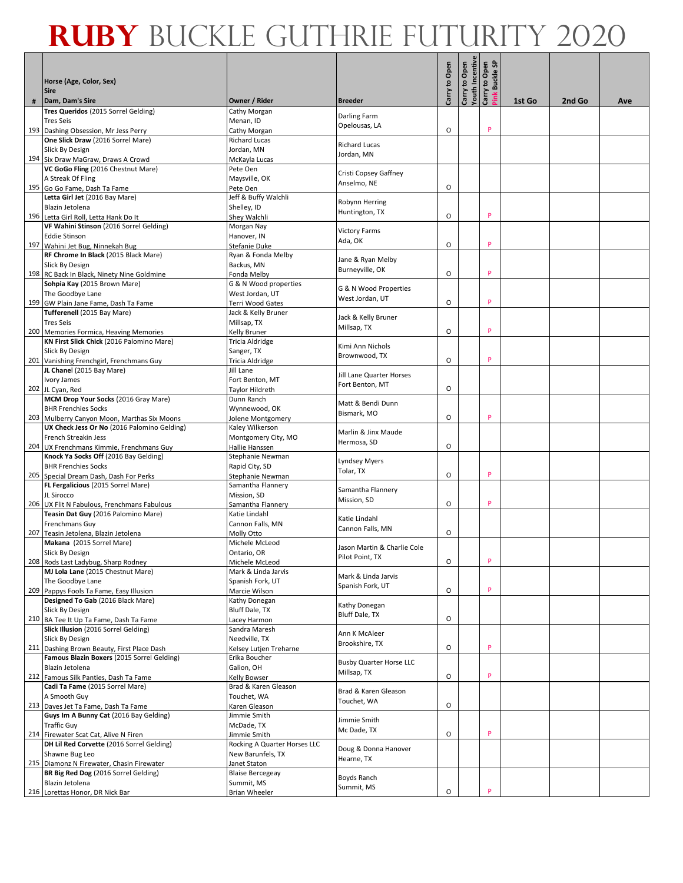|   |                                                                                            |                                      |                                     |               | Carry to Open<br>Youth Incentive<br>Carry to Open<br>Pink Buckle SP |   |        |        |     |
|---|--------------------------------------------------------------------------------------------|--------------------------------------|-------------------------------------|---------------|---------------------------------------------------------------------|---|--------|--------|-----|
|   | Horse (Age, Color, Sex)<br><b>Sire</b>                                                     |                                      |                                     | Carry to Open |                                                                     |   |        |        |     |
| # | Dam, Dam's Sire                                                                            | Owner / Rider                        | <b>Breeder</b>                      |               |                                                                     |   | 1st Go | 2nd Go | Ave |
|   | Tres Queridos (2015 Sorrel Gelding)<br><b>Tres Seis</b>                                    | Cathy Morgan<br>Menan. ID            | Darling Farm                        |               |                                                                     |   |        |        |     |
|   | 193 Dashing Obsession, Mr Jess Perry                                                       | Cathy Morgan                         | Opelousas, LA                       | O             |                                                                     | P |        |        |     |
|   | One Slick Draw (2016 Sorrel Mare)                                                          | <b>Richard Lucas</b>                 | <b>Richard Lucas</b>                |               |                                                                     |   |        |        |     |
|   | Slick By Design                                                                            | Jordan, MN                           | Jordan, MN                          |               |                                                                     |   |        |        |     |
|   | 194 Six Draw MaGraw, Draws A Crowd                                                         | McKayla Lucas                        |                                     |               |                                                                     |   |        |        |     |
|   | VC GoGo Fling (2016 Chestnut Mare)                                                         | Pete Oen                             | Cristi Copsey Gaffney               |               |                                                                     |   |        |        |     |
|   | A Streak Of Fling                                                                          | Maysville, OK                        | Anselmo, NE                         | O             |                                                                     |   |        |        |     |
|   | 195 Go Go Fame, Dash Ta Fame<br>Letta Girl Jet (2016 Bay Mare)                             | Pete Oen<br>Jeff & Buffy Walchli     |                                     |               |                                                                     |   |        |        |     |
|   | Blazin Jetolena                                                                            | Shelley, ID                          | Robynn Herring                      |               |                                                                     |   |        |        |     |
|   | 196 Letta Girl Roll, Letta Hank Do It                                                      | Shey Walchli                         | Huntington, TX                      | O             |                                                                     | P |        |        |     |
|   | VF Wahini Stinson (2016 Sorrel Gelding)                                                    | Morgan Nay                           |                                     |               |                                                                     |   |        |        |     |
|   | <b>Eddie Stinson</b>                                                                       | Hanover, IN                          | <b>Victory Farms</b><br>Ada, OK     |               |                                                                     |   |        |        |     |
|   | 197 Wahini Jet Bug, Ninnekah Bug                                                           | Stefanie Duke                        |                                     | O             |                                                                     | P |        |        |     |
|   | RF Chrome In Black (2015 Black Mare)                                                       | Ryan & Fonda Melby                   | Jane & Ryan Melby                   |               |                                                                     |   |        |        |     |
|   | Slick By Design                                                                            | Backus, MN                           | Burneyville, OK                     | O             |                                                                     | P |        |        |     |
|   | 198 RC Back In Black, Ninety Nine Goldmine<br>Sohpia Kay (2015 Brown Mare)                 | Fonda Melby<br>G & N Wood properties |                                     |               |                                                                     |   |        |        |     |
|   | The Goodbye Lane                                                                           | West Jordan, UT                      | G & N Wood Properties               |               |                                                                     |   |        |        |     |
|   | 199 GW Plain Jane Fame, Dash Ta Fame                                                       | Terri Wood Gates                     | West Jordan, UT                     | O             |                                                                     | P |        |        |     |
|   | Tufferenell (2015 Bay Mare)                                                                | Jack & Kelly Bruner                  |                                     |               |                                                                     |   |        |        |     |
|   | <b>Tres Seis</b>                                                                           | Millsap, TX                          | Jack & Kelly Bruner<br>Millsap, TX  |               |                                                                     |   |        |        |     |
|   | 200 Memories Formica, Heaving Memories                                                     | Kelly Bruner                         |                                     | O             |                                                                     | P |        |        |     |
|   | KN First Slick Chick (2016 Palomino Mare)                                                  | Tricia Aldridge                      | Kimi Ann Nichols                    |               |                                                                     |   |        |        |     |
|   | Slick By Design<br>201 Vanishing Frenchgirl, Frenchmans Guy                                | Sanger, TX<br>Tricia Aldridge        | Brownwood, TX                       | O             |                                                                     | P |        |        |     |
|   | JL Chanel (2015 Bay Mare)                                                                  | Jill Lane                            |                                     |               |                                                                     |   |        |        |     |
|   | Ivory James                                                                                | Fort Benton, MT                      | Jill Lane Quarter Horses            |               |                                                                     |   |        |        |     |
|   | 202 JL Cyan, Red                                                                           | Taylor Hildreth                      | Fort Benton, MT                     | O             |                                                                     |   |        |        |     |
|   | MCM Drop Your Socks (2016 Gray Mare)                                                       | Dunn Ranch                           | Matt & Bendi Dunn                   |               |                                                                     |   |        |        |     |
|   | <b>BHR Frenchies Socks</b>                                                                 | Wynnewood, OK                        | Bismark, MO                         | O             |                                                                     | P |        |        |     |
|   | 203 Mulberry Canyon Moon, Marthas Six Moons<br>UX Check Jess Or No (2016 Palomino Gelding) | Jolene Montgomery<br>Kaley Wilkerson |                                     |               |                                                                     |   |        |        |     |
|   | French Streakin Jess                                                                       | Montgomery City, MO                  | Marlin & Jinx Maude                 |               |                                                                     |   |        |        |     |
|   | 204 UX Frenchmans Kimmie, Frenchmans Guy                                                   | Hallie Hanssen                       | Hermosa, SD                         | O             |                                                                     |   |        |        |     |
|   | Knock Ya Socks Off (2016 Bay Gelding)                                                      | Stephanie Newman                     | Lyndsey Myers                       |               |                                                                     |   |        |        |     |
|   | <b>BHR Frenchies Socks</b>                                                                 | Rapid City, SD                       | Tolar, TX                           |               |                                                                     |   |        |        |     |
|   | 205 Special Dream Dash, Dash For Perks                                                     | Stephanie Newman                     |                                     | O             |                                                                     | P |        |        |     |
|   | FL Fergalicious (2015 Sorrel Mare)<br>JL Sirocco                                           | Samantha Flannery<br>Mission, SD     | Samantha Flannery                   |               |                                                                     |   |        |        |     |
|   | 206 UX Flit N Fabulous, Frenchmans Fabulous                                                | Samantha Flannery                    | Mission, SD                         | O             |                                                                     | P |        |        |     |
|   | Teasin Dat Guy (2016 Palomino Mare)                                                        | Katie Lindahl                        |                                     |               |                                                                     |   |        |        |     |
|   | Frenchmans Guy                                                                             | Cannon Falls, MN                     | Katie Lindahl<br>Cannon Falls, MN   |               |                                                                     |   |        |        |     |
|   | 207 Teasin Jetolena, Blazin Jetolena                                                       | Molly Otto                           |                                     | O             |                                                                     |   |        |        |     |
|   | Makana (2015 Sorrel Mare)<br>Slick By Design                                               | Michele McLeod<br>Ontario, OR        | Jason Martin & Charlie Cole         |               |                                                                     |   |        |        |     |
|   | 208 Rods Last Ladybug, Sharp Rodney                                                        | Michele McLeod                       | Pilot Point, TX                     | O             |                                                                     | P |        |        |     |
|   | MJ Lola Lane (2015 Chestnut Mare)                                                          | Mark & Linda Jarvis                  | Mark & Linda Jarvis                 |               |                                                                     |   |        |        |     |
|   | The Goodbye Lane                                                                           | Spanish Fork, UT                     | Spanish Fork, UT                    |               |                                                                     |   |        |        |     |
|   | 209 Pappys Fools Ta Fame, Easy Illusion                                                    | Marcie Wilson                        |                                     | O             |                                                                     | P |        |        |     |
|   | Designed To Gab (2016 Black Mare)<br>Slick By Design                                       | Kathy Donegan<br>Bluff Dale, TX      | Kathy Donegan                       |               |                                                                     |   |        |        |     |
|   | 210 BA Tee It Up Ta Fame, Dash Ta Fame                                                     | Lacey Harmon                         | Bluff Dale, TX                      | O             |                                                                     |   |        |        |     |
|   | Slick Illusion (2016 Sorrel Gelding)                                                       | Sandra Maresh                        |                                     |               |                                                                     |   |        |        |     |
|   | Slick By Design                                                                            | Needville, TX                        | Ann K McAleer<br>Brookshire, TX     |               |                                                                     |   |        |        |     |
|   | 211 Dashing Brown Beauty, First Place Dash                                                 | Kelsey Lutjen Treharne               |                                     | O             |                                                                     | P |        |        |     |
|   | Famous Blazin Boxers (2015 Sorrel Gelding)                                                 | Erika Boucher                        | <b>Busby Quarter Horse LLC</b>      |               |                                                                     |   |        |        |     |
|   | Blazin Jetolena<br>212 Famous Silk Panties, Dash Ta Fame                                   | Galion, OH<br>Kelly Bowser           | Millsap, TX                         | O             |                                                                     | P |        |        |     |
|   | Cadi Ta Fame (2015 Sorrel Mare)                                                            | Brad & Karen Gleason                 |                                     |               |                                                                     |   |        |        |     |
|   | A Smooth Guy                                                                               | Touchet, WA                          | Brad & Karen Gleason<br>Touchet, WA |               |                                                                     |   |        |        |     |
|   | 213 Daves Jet Ta Fame, Dash Ta Fame                                                        | Karen Gleason                        |                                     | O             |                                                                     |   |        |        |     |
|   | Guys Im A Bunny Cat (2016 Bay Gelding)                                                     | Jimmie Smith                         | Jimmie Smith                        |               |                                                                     |   |        |        |     |
|   | <b>Traffic Guy</b><br>214 Firewater Scat Cat, Alive N Firen                                | McDade, TX<br>Jimmie Smith           | Mc Dade, TX                         | O             |                                                                     | P |        |        |     |
|   | DH Lil Red Corvette (2016 Sorrel Gelding)                                                  | Rocking A Quarter Horses LLC         |                                     |               |                                                                     |   |        |        |     |
|   | Shawne Bug Leo                                                                             | New Barunfels, TX                    | Doug & Donna Hanover                |               |                                                                     |   |        |        |     |
|   | 215 Diamonz N Firewater, Chasin Firewater                                                  | Janet Staton                         | Hearne, TX                          |               |                                                                     |   |        |        |     |
|   | BR Big Red Dog (2016 Sorrel Gelding)                                                       | <b>Blaise Bercegeay</b>              | Boyds Ranch                         |               |                                                                     |   |        |        |     |
|   | Blazin Jetolena                                                                            | Summit, MS                           | Summit, MS                          | O             |                                                                     | P |        |        |     |
|   | 216 Lorettas Honor, DR Nick Bar                                                            | <b>Brian Wheeler</b>                 |                                     |               |                                                                     |   |        |        |     |